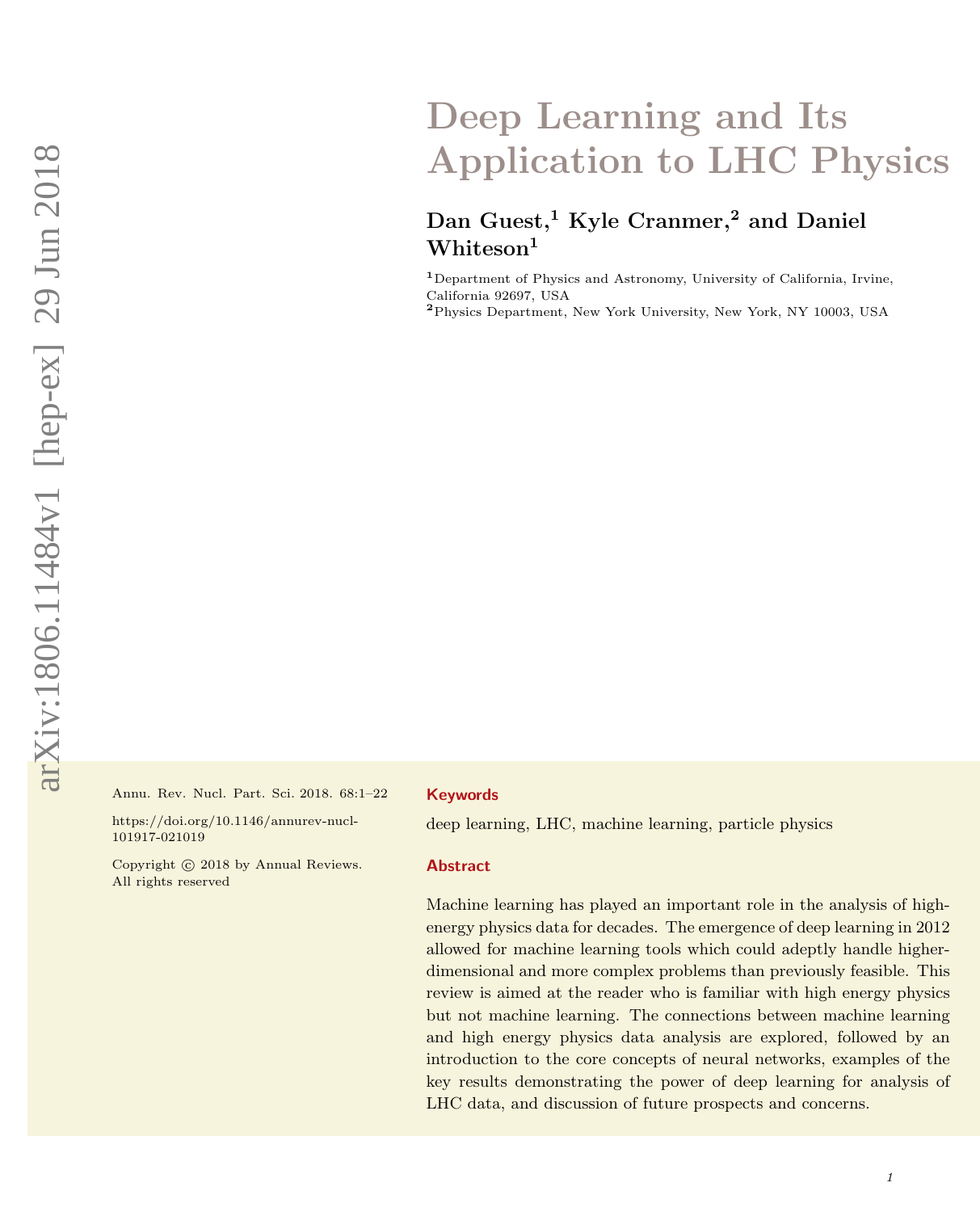# Deep Learning and Its Application to LHC Physics

## Dan Guest,<sup>1</sup> Kyle Cranmer,<sup>2</sup> and Daniel Whiteson<sup>1</sup>

<sup>1</sup>Department of Physics and Astronomy, University of California, Irvine, California 92697, USA

<sup>2</sup>Physics Department, New York University, New York, NY 10003, USA

Annu. Rev. Nucl. Part. Sci. 2018. 68:1–22

https://doi.org/10.1146/annurev-nucl-101917-021019

Copyright (c) 2018 by Annual Reviews. All rights reserved

#### Keywords

deep learning, LHC, machine learning, particle physics

#### Abstract

Machine learning has played an important role in the analysis of highenergy physics data for decades. The emergence of deep learning in 2012 allowed for machine learning tools which could adeptly handle higherdimensional and more complex problems than previously feasible. This review is aimed at the reader who is familiar with high energy physics but not machine learning. The connections between machine learning and high energy physics data analysis are explored, followed by an introduction to the core concepts of neural networks, examples of the key results demonstrating the power of deep learning for analysis of LHC data, and discussion of future prospects and concerns.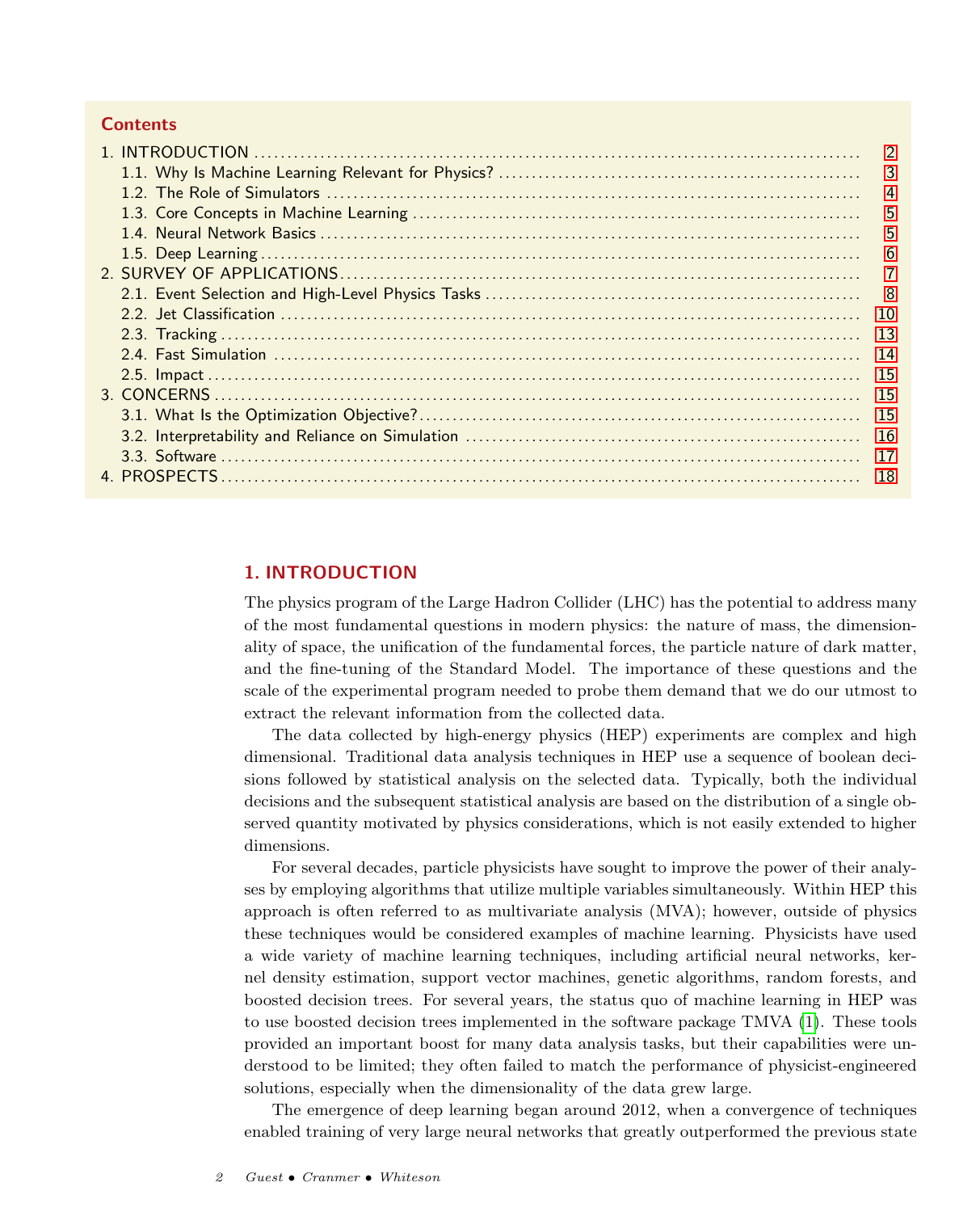## **Contents**

|  | $\overline{3}$ |
|--|----------------|
|  | $\overline{4}$ |
|  | 5              |
|  | 5              |
|  | 6              |
|  |                |
|  |                |
|  | 10             |
|  | 13             |
|  | -14            |
|  | -15            |
|  | 15             |
|  | <sup>15</sup>  |
|  | 16             |
|  | 17             |
|  | 18             |

## <span id="page-1-0"></span>1. INTRODUCTION

The physics program of the Large Hadron Collider (LHC) has the potential to address many of the most fundamental questions in modern physics: the nature of mass, the dimensionality of space, the unification of the fundamental forces, the particle nature of dark matter, and the fine-tuning of the Standard Model. The importance of these questions and the scale of the experimental program needed to probe them demand that we do our utmost to extract the relevant information from the collected data.

The data collected by high-energy physics (HEP) experiments are complex and high dimensional. Traditional data analysis techniques in HEP use a sequence of boolean decisions followed by statistical analysis on the selected data. Typically, both the individual decisions and the subsequent statistical analysis are based on the distribution of a single observed quantity motivated by physics considerations, which is not easily extended to higher dimensions.

For several decades, particle physicists have sought to improve the power of their analyses by employing algorithms that utilize multiple variables simultaneously. Within HEP this approach is often referred to as multivariate analysis (MVA); however, outside of physics these techniques would be considered examples of machine learning. Physicists have used a wide variety of machine learning techniques, including artificial neural networks, kernel density estimation, support vector machines, genetic algorithms, random forests, and boosted decision trees. For several years, the status quo of machine learning in HEP was to use boosted decision trees implemented in the software package TMVA [\(1\)](#page-18-0). These tools provided an important boost for many data analysis tasks, but their capabilities were understood to be limited; they often failed to match the performance of physicist-engineered solutions, especially when the dimensionality of the data grew large.

The emergence of deep learning began around 2012, when a convergence of techniques enabled training of very large neural networks that greatly outperformed the previous state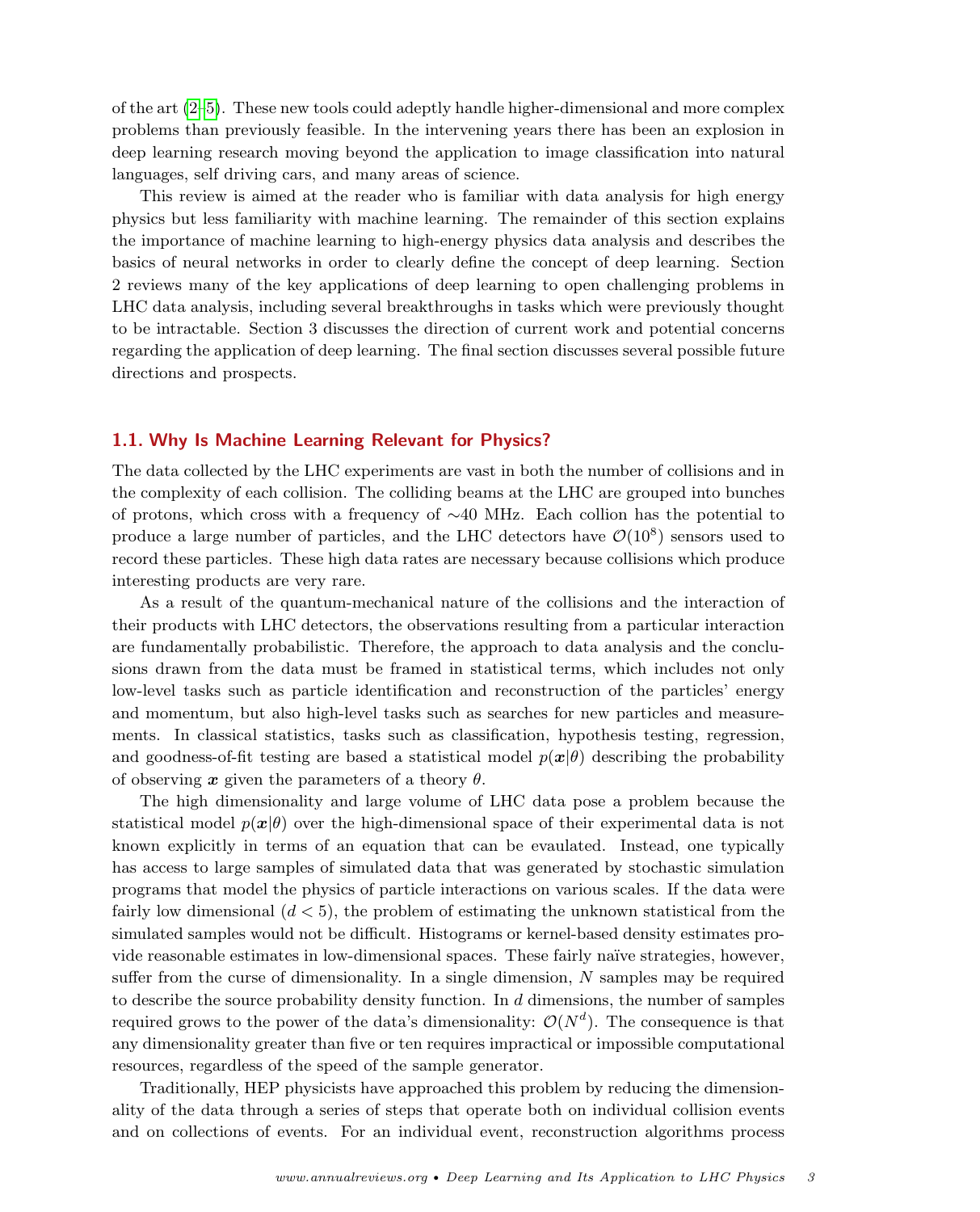of the art [\(2–](#page-18-1)[5\)](#page-18-2). These new tools could adeptly handle higher-dimensional and more complex problems than previously feasible. In the intervening years there has been an explosion in deep learning research moving beyond the application to image classification into natural languages, self driving cars, and many areas of science.

This review is aimed at the reader who is familiar with data analysis for high energy physics but less familiarity with machine learning. The remainder of this section explains the importance of machine learning to high-energy physics data analysis and describes the basics of neural networks in order to clearly define the concept of deep learning. Section 2 reviews many of the key applications of deep learning to open challenging problems in LHC data analysis, including several breakthroughs in tasks which were previously thought to be intractable. Section 3 discusses the direction of current work and potential concerns regarding the application of deep learning. The final section discusses several possible future directions and prospects.

## <span id="page-2-0"></span>1.1. Why Is Machine Learning Relevant for Physics?

The data collected by the LHC experiments are vast in both the number of collisions and in the complexity of each collision. The colliding beams at the LHC are grouped into bunches of protons, which cross with a frequency of ∼40 MHz. Each collion has the potential to produce a large number of particles, and the LHC detectors have  $\mathcal{O}(10^8)$  sensors used to record these particles. These high data rates are necessary because collisions which produce interesting products are very rare.

As a result of the quantum-mechanical nature of the collisions and the interaction of their products with LHC detectors, the observations resulting from a particular interaction are fundamentally probabilistic. Therefore, the approach to data analysis and the conclusions drawn from the data must be framed in statistical terms, which includes not only low-level tasks such as particle identification and reconstruction of the particles' energy and momentum, but also high-level tasks such as searches for new particles and measurements. In classical statistics, tasks such as classification, hypothesis testing, regression, and goodness-of-fit testing are based a statistical model  $p(x|\theta)$  describing the probability of observing x given the parameters of a theory  $\theta$ .

The high dimensionality and large volume of LHC data pose a problem because the statistical model  $p(x|\theta)$  over the high-dimensional space of their experimental data is not known explicitly in terms of an equation that can be evaulated. Instead, one typically has access to large samples of simulated data that was generated by stochastic simulation programs that model the physics of particle interactions on various scales. If the data were fairly low dimensional  $(d < 5)$ , the problem of estimating the unknown statistical from the simulated samples would not be difficult. Histograms or kernel-based density estimates provide reasonable estimates in low-dimensional spaces. These fairly naïve strategies, however, suffer from the curse of dimensionality. In a single dimension, N samples may be required to describe the source probability density function. In  $d$  dimensions, the number of samples required grows to the power of the data's dimensionality:  $\mathcal{O}(N^d)$ . The consequence is that any dimensionality greater than five or ten requires impractical or impossible computational resources, regardless of the speed of the sample generator.

Traditionally, HEP physicists have approached this problem by reducing the dimensionality of the data through a series of steps that operate both on individual collision events and on collections of events. For an individual event, reconstruction algorithms process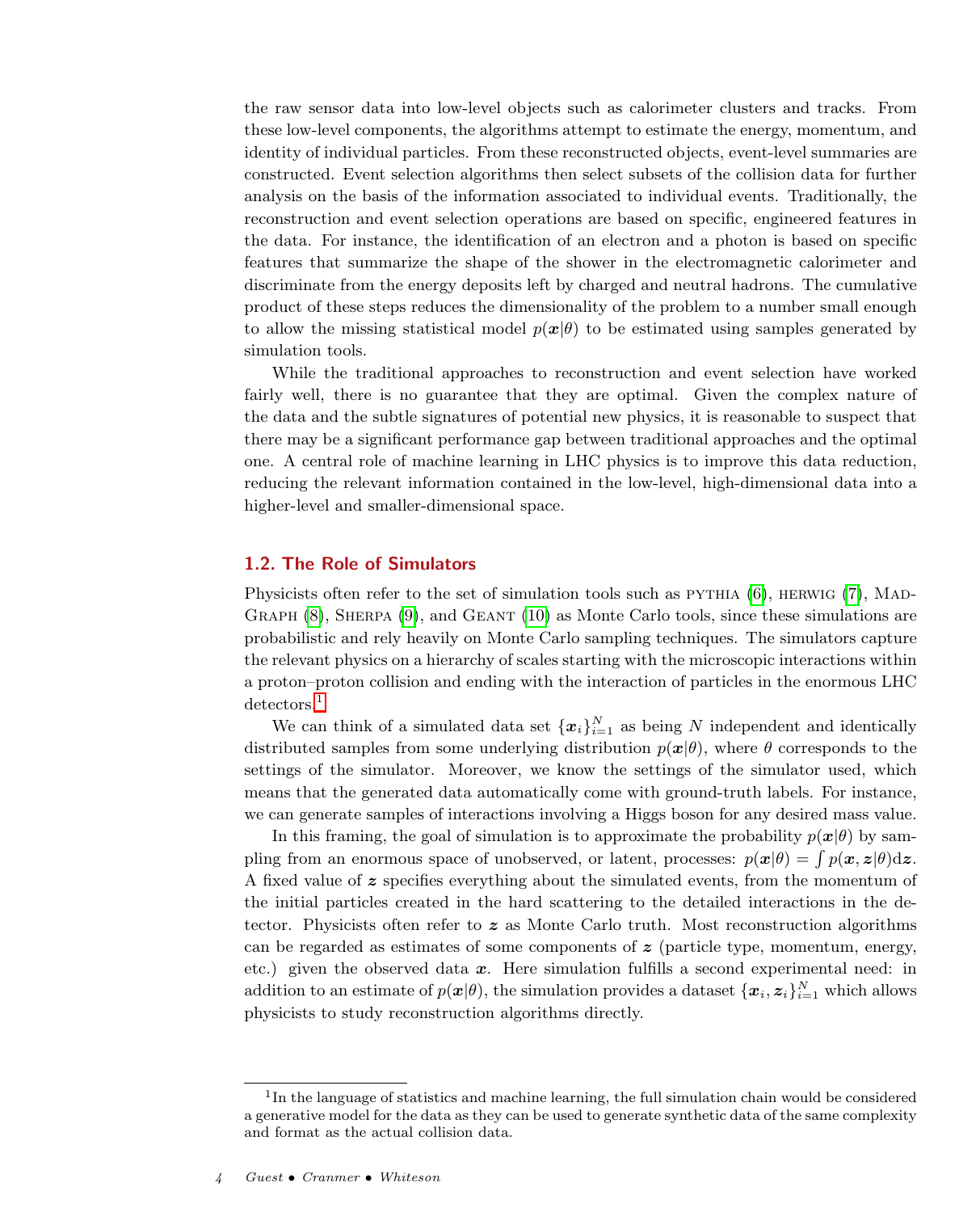the raw sensor data into low-level objects such as calorimeter clusters and tracks. From these low-level components, the algorithms attempt to estimate the energy, momentum, and identity of individual particles. From these reconstructed objects, event-level summaries are constructed. Event selection algorithms then select subsets of the collision data for further analysis on the basis of the information associated to individual events. Traditionally, the reconstruction and event selection operations are based on specific, engineered features in the data. For instance, the identification of an electron and a photon is based on specific features that summarize the shape of the shower in the electromagnetic calorimeter and discriminate from the energy deposits left by charged and neutral hadrons. The cumulative product of these steps reduces the dimensionality of the problem to a number small enough to allow the missing statistical model  $p(x|\theta)$  to be estimated using samples generated by simulation tools.

While the traditional approaches to reconstruction and event selection have worked fairly well, there is no guarantee that they are optimal. Given the complex nature of the data and the subtle signatures of potential new physics, it is reasonable to suspect that there may be a significant performance gap between traditional approaches and the optimal one. A central role of machine learning in LHC physics is to improve this data reduction, reducing the relevant information contained in the low-level, high-dimensional data into a higher-level and smaller-dimensional space.

## <span id="page-3-0"></span>1.2. The Role of Simulators

Physicists often refer to the set of simulation tools such as  $PYTHIA$  [\(6\)](#page-18-3), HERWIG [\(7\)](#page-18-4), MAD-GRAPH  $(8)$ , SHERPA  $(9)$ , and GEANT  $(10)$  as Monte Carlo tools, since these simulations are probabilistic and rely heavily on Monte Carlo sampling techniques. The simulators capture the relevant physics on a hierarchy of scales starting with the microscopic interactions within a proton–proton collision and ending with the interaction of particles in the enormous LHC detectors.<sup>[1](#page-3-1)</sup>

We can think of a simulated data set  ${x_i}_{i=1}^N$  as being N independent and identically distributed samples from some underlying distribution  $p(x|\theta)$ , where  $\theta$  corresponds to the settings of the simulator. Moreover, we know the settings of the simulator used, which means that the generated data automatically come with ground-truth labels. For instance, we can generate samples of interactions involving a Higgs boson for any desired mass value.

In this framing, the goal of simulation is to approximate the probability  $p(x|\theta)$  by sampling from an enormous space of unobserved, or latent, processes:  $p(x|\theta) = \int p(x, z|\theta) dz$ . A fixed value of  $\boldsymbol{z}$  specifies everything about the simulated events, from the momentum of the initial particles created in the hard scattering to the detailed interactions in the detector. Physicists often refer to  $z$  as Monte Carlo truth. Most reconstruction algorithms can be regarded as estimates of some components of  $z$  (particle type, momentum, energy, etc.) given the observed data  $x$ . Here simulation fulfills a second experimental need: in addition to an estimate of  $p(x|\theta)$ , the simulation provides a dataset  $\{x_i, z_i\}_{i=1}^N$  which allows physicists to study reconstruction algorithms directly.

<span id="page-3-1"></span><sup>&</sup>lt;sup>1</sup>In the language of statistics and machine learning, the full simulation chain would be considered a generative model for the data as they can be used to generate synthetic data of the same complexity and format as the actual collision data.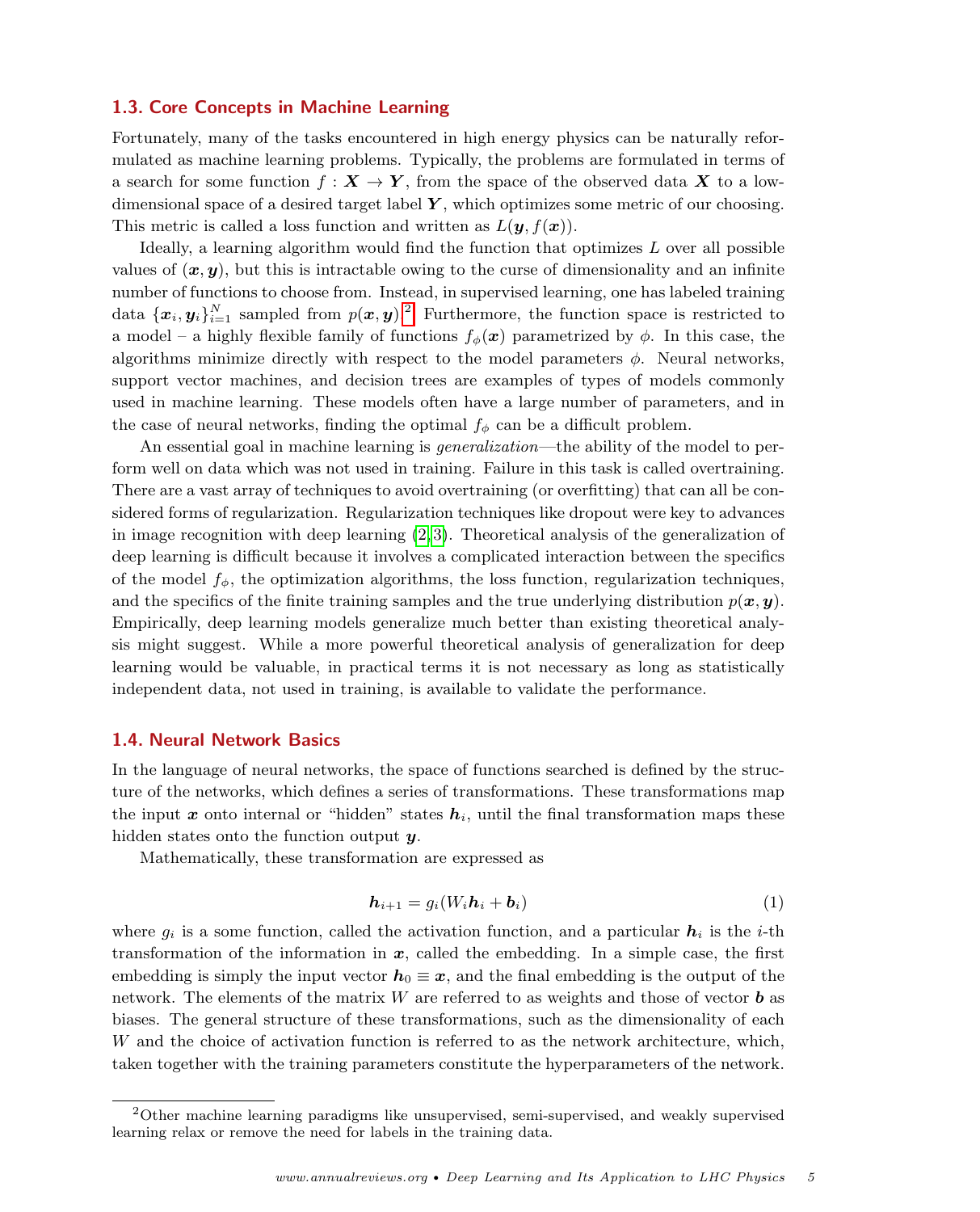#### <span id="page-4-0"></span>1.3. Core Concepts in Machine Learning

Fortunately, many of the tasks encountered in high energy physics can be naturally reformulated as machine learning problems. Typically, the problems are formulated in terms of a search for some function  $f: X \to Y$ , from the space of the observed data X to a lowdimensional space of a desired target label  $Y$ , which optimizes some metric of our choosing. This metric is called a loss function and written as  $L(\mathbf{y}, f(\mathbf{x}))$ .

Ideally, a learning algorithm would find the function that optimizes L over all possible values of  $(x, y)$ , but this is intractable owing to the curse of dimensionality and an infinite number of functions to choose from. Instead, in supervised learning, one has labeled training data  $\{\boldsymbol{x}_i, \boldsymbol{y}_i\}_{i=1}^N$  sampled from  $p(\boldsymbol{x}, \boldsymbol{y})$ . Furthermore, the function space is restricted to a model – a highly flexible family of functions  $f_{\phi}(\boldsymbol{x})$  parametrized by  $\phi$ . In this case, the algorithms minimize directly with respect to the model parameters  $\phi$ . Neural networks, support vector machines, and decision trees are examples of types of models commonly used in machine learning. These models often have a large number of parameters, and in the case of neural networks, finding the optimal  $f_{\phi}$  can be a difficult problem.

An essential goal in machine learning is *generalization*—the ability of the model to perform well on data which was not used in training. Failure in this task is called overtraining. There are a vast array of techniques to avoid overtraining (or overfitting) that can all be considered forms of regularization. Regularization techniques like dropout were key to advances in image recognition with deep learning  $(2, 3)$  $(2, 3)$ . Theoretical analysis of the generalization of deep learning is difficult because it involves a complicated interaction between the specifics of the model  $f_{\phi}$ , the optimization algorithms, the loss function, regularization techniques, and the specifics of the finite training samples and the true underlying distribution  $p(x, y)$ . Empirically, deep learning models generalize much better than existing theoretical analysis might suggest. While a more powerful theoretical analysis of generalization for deep learning would be valuable, in practical terms it is not necessary as long as statistically independent data, not used in training, is available to validate the performance.

## <span id="page-4-1"></span>1.4. Neural Network Basics

In the language of neural networks, the space of functions searched is defined by the structure of the networks, which defines a series of transformations. These transformations map the input  $x$  onto internal or "hidden" states  $h_i$ , until the final transformation maps these hidden states onto the function output  $y$ .

Mathematically, these transformation are expressed as

$$
\mathbf{h}_{i+1} = g_i(W_i \mathbf{h}_i + \mathbf{b}_i) \tag{1}
$$

where  $q_i$  is a some function, called the activation function, and a particular  $h_i$  is the *i*-th transformation of the information in  $x$ , called the embedding. In a simple case, the first embedding is simply the input vector  $h_0 \equiv x$ , and the final embedding is the output of the network. The elements of the matrix  $W$  are referred to as weights and those of vector  $\boldsymbol{b}$  as biases. The general structure of these transformations, such as the dimensionality of each W and the choice of activation function is referred to as the network architecture, which, taken together with the training parameters constitute the hyperparameters of the network.

<span id="page-4-2"></span><sup>2</sup>Other machine learning paradigms like unsupervised, semi-supervised, and weakly supervised learning relax or remove the need for labels in the training data.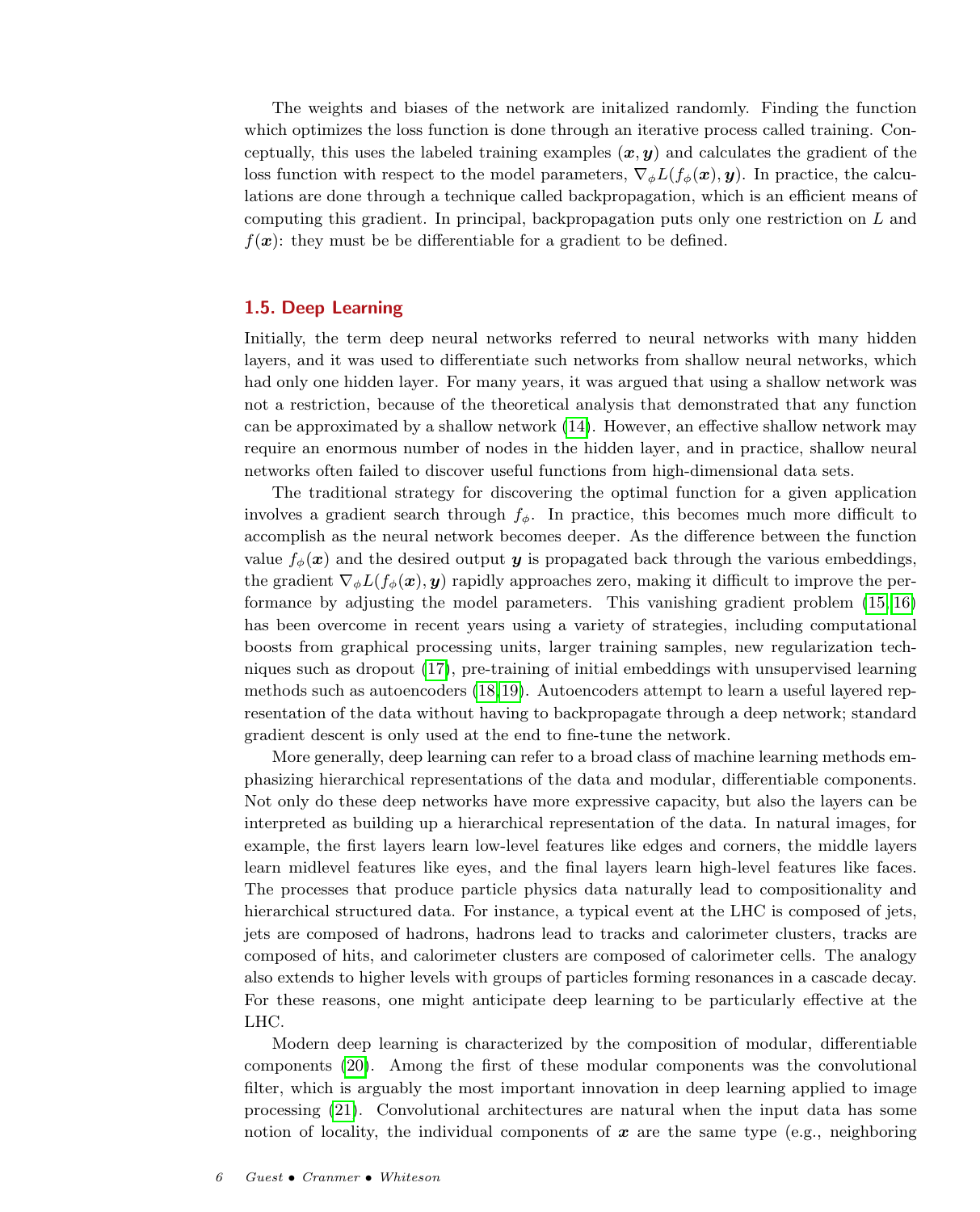The weights and biases of the network are initalized randomly. Finding the function which optimizes the loss function is done through an iterative process called training. Conceptually, this uses the labeled training examples  $(x, y)$  and calculates the gradient of the loss function with respect to the model parameters,  $\nabla_{\phi} L(f_{\phi}(\boldsymbol{x}), \boldsymbol{y})$ . In practice, the calculations are done through a technique called backpropagation, which is an efficient means of computing this gradient. In principal, backpropagation puts only one restriction on L and  $f(x)$ : they must be be differentiable for a gradient to be defined.

## <span id="page-5-0"></span>1.5. Deep Learning

Initially, the term deep neural networks referred to neural networks with many hidden layers, and it was used to differentiate such networks from shallow neural networks, which had only one hidden layer. For many years, it was argued that using a shallow network was not a restriction, because of the theoretical analysis that demonstrated that any function can be approximated by a shallow network [\(14\)](#page-18-9). However, an effective shallow network may require an enormous number of nodes in the hidden layer, and in practice, shallow neural networks often failed to discover useful functions from high-dimensional data sets.

The traditional strategy for discovering the optimal function for a given application involves a gradient search through  $f_{\phi}$ . In practice, this becomes much more difficult to accomplish as the neural network becomes deeper. As the difference between the function value  $f_{\phi}(\boldsymbol{x})$  and the desired output y is propagated back through the various embeddings, the gradient  $\nabla_{\phi}L(f_{\phi}(\boldsymbol{x}), \boldsymbol{y})$  rapidly approaches zero, making it difficult to improve the performance by adjusting the model parameters. This vanishing gradient problem [\(15,](#page-18-10) [16\)](#page-18-11) has been overcome in recent years using a variety of strategies, including computational boosts from graphical processing units, larger training samples, new regularization techniques such as dropout [\(17\)](#page-18-12), pre-training of initial embeddings with unsupervised learning methods such as autoencoders [\(18,](#page-18-13)[19\)](#page-19-0). Autoencoders attempt to learn a useful layered representation of the data without having to backpropagate through a deep network; standard gradient descent is only used at the end to fine-tune the network.

More generally, deep learning can refer to a broad class of machine learning methods emphasizing hierarchical representations of the data and modular, differentiable components. Not only do these deep networks have more expressive capacity, but also the layers can be interpreted as building up a hierarchical representation of the data. In natural images, for example, the first layers learn low-level features like edges and corners, the middle layers learn midlevel features like eyes, and the final layers learn high-level features like faces. The processes that produce particle physics data naturally lead to compositionality and hierarchical structured data. For instance, a typical event at the LHC is composed of jets, jets are composed of hadrons, hadrons lead to tracks and calorimeter clusters, tracks are composed of hits, and calorimeter clusters are composed of calorimeter cells. The analogy also extends to higher levels with groups of particles forming resonances in a cascade decay. For these reasons, one might anticipate deep learning to be particularly effective at the LHC.

Modern deep learning is characterized by the composition of modular, differentiable components [\(20\)](#page-19-1). Among the first of these modular components was the convolutional filter, which is arguably the most important innovation in deep learning applied to image processing [\(21\)](#page-19-2). Convolutional architectures are natural when the input data has some notion of locality, the individual components of  $x$  are the same type (e.g., neighboring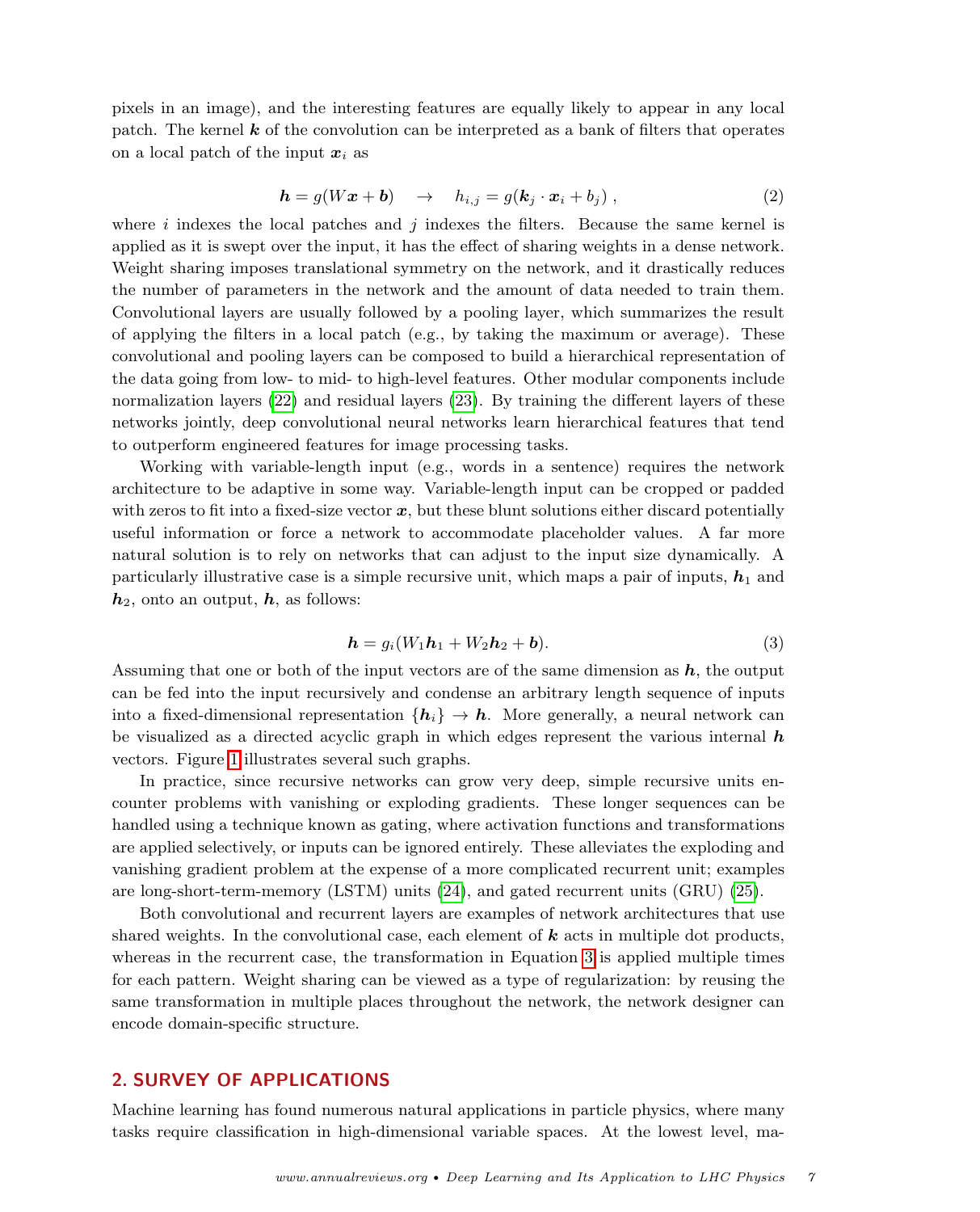pixels in an image), and the interesting features are equally likely to appear in any local patch. The kernel  $k$  of the convolution can be interpreted as a bank of filters that operates on a local patch of the input  $x_i$  as

$$
\mathbf{h} = g(W\mathbf{x} + \mathbf{b}) \quad \rightarrow \quad h_{i,j} = g(\mathbf{k}_j \cdot \mathbf{x}_i + b_j) \,, \tag{2}
$$

where  $i$  indexes the local patches and  $j$  indexes the filters. Because the same kernel is applied as it is swept over the input, it has the effect of sharing weights in a dense network. Weight sharing imposes translational symmetry on the network, and it drastically reduces the number of parameters in the network and the amount of data needed to train them. Convolutional layers are usually followed by a pooling layer, which summarizes the result of applying the filters in a local patch (e.g., by taking the maximum or average). These convolutional and pooling layers can be composed to build a hierarchical representation of the data going from low- to mid- to high-level features. Other modular components include normalization layers [\(22\)](#page-19-3) and residual layers [\(23\)](#page-19-4). By training the different layers of these networks jointly, deep convolutional neural networks learn hierarchical features that tend to outperform engineered features for image processing tasks.

Working with variable-length input (e.g., words in a sentence) requires the network architecture to be adaptive in some way. Variable-length input can be cropped or padded with zeros to fit into a fixed-size vector  $x$ , but these blunt solutions either discard potentially useful information or force a network to accommodate placeholder values. A far more natural solution is to rely on networks that can adjust to the input size dynamically. A particularly illustrative case is a simple recursive unit, which maps a pair of inputs,  $h_1$  and  $h_2$ , onto an output, h, as follows:

<span id="page-6-1"></span>
$$
\mathbf{h} = g_i(W_1 \mathbf{h}_1 + W_2 \mathbf{h}_2 + \mathbf{b}).\tag{3}
$$

Assuming that one or both of the input vectors are of the same dimension as  $h$ , the output can be fed into the input recursively and condense an arbitrary length sequence of inputs into a fixed-dimensional representation  ${h_i} \rightarrow h$ . More generally, a neural network can be visualized as a directed acyclic graph in which edges represent the various internal  $\bm{h}$ vectors. Figure [1](#page-7-1) illustrates several such graphs.

In practice, since recursive networks can grow very deep, simple recursive units encounter problems with vanishing or exploding gradients. These longer sequences can be handled using a technique known as gating, where activation functions and transformations are applied selectively, or inputs can be ignored entirely. These alleviates the exploding and vanishing gradient problem at the expense of a more complicated recurrent unit; examples are long-short-term-memory (LSTM) units [\(24\)](#page-19-5), and gated recurrent units (GRU) [\(25\)](#page-19-6).

Both convolutional and recurrent layers are examples of network architectures that use shared weights. In the convolutional case, each element of  $k$  acts in multiple dot products, whereas in the recurrent case, the transformation in Equation [3](#page-6-1) is applied multiple times for each pattern. Weight sharing can be viewed as a type of regularization: by reusing the same transformation in multiple places throughout the network, the network designer can encode domain-specific structure.

## <span id="page-6-0"></span>2. SURVEY OF APPLICATIONS

Machine learning has found numerous natural applications in particle physics, where many tasks require classification in high-dimensional variable spaces. At the lowest level, ma-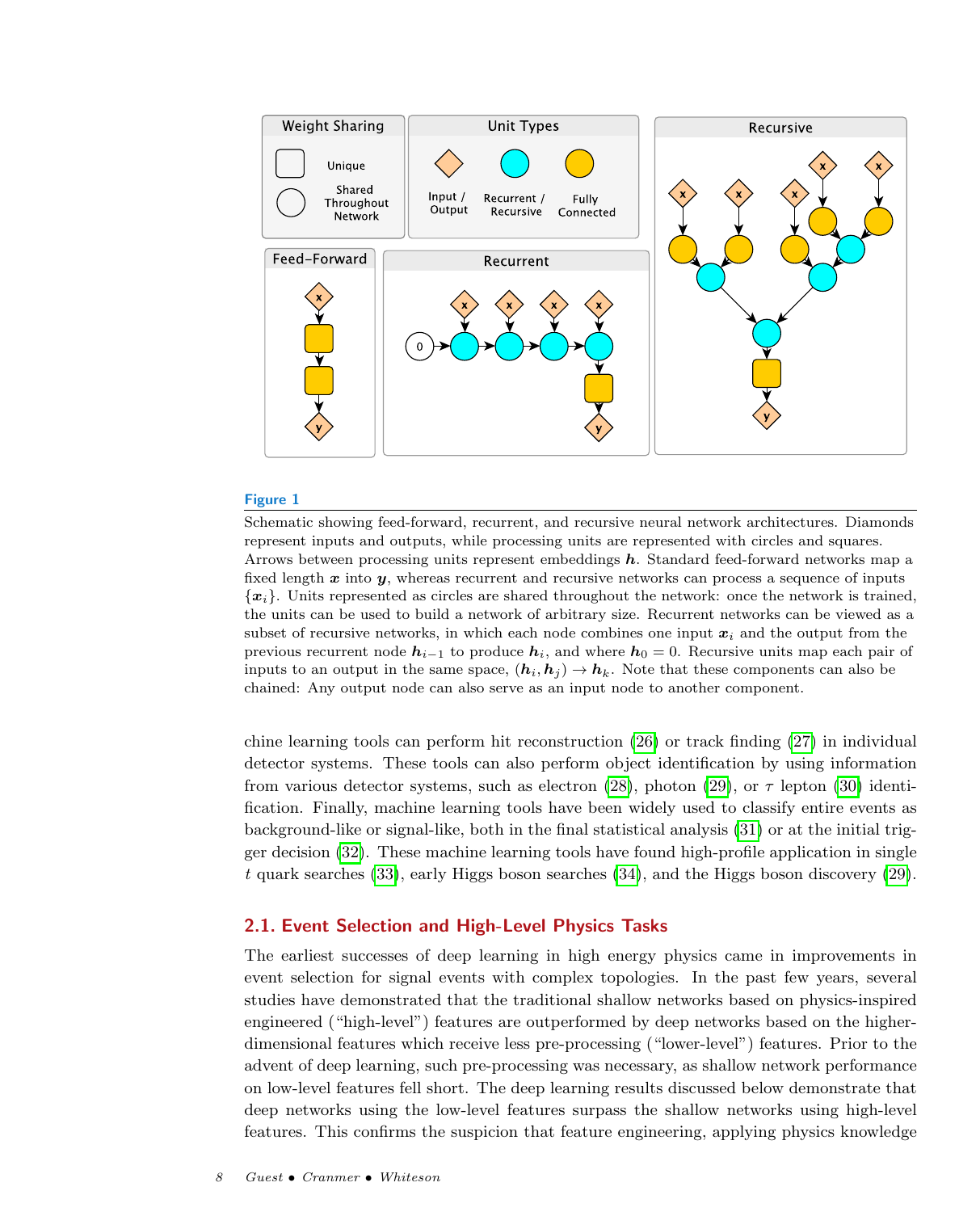

<span id="page-7-1"></span>Schematic showing feed-forward, recurrent, and recursive neural network architectures. Diamonds represent inputs and outputs, while processing units are represented with circles and squares. Arrows between processing units represent embeddings h. Standard feed-forward networks map a fixed length  $x$  into  $y$ , whereas recurrent and recursive networks can process a sequence of inputs  ${x_i}$ . Units represented as circles are shared throughout the network: once the network is trained, the units can be used to build a network of arbitrary size. Recurrent networks can be viewed as a subset of recursive networks, in which each node combines one input  $x_i$  and the output from the previous recurrent node  $h_{i-1}$  to produce  $h_i$ , and where  $h_0 = 0$ . Recursive units map each pair of inputs to an output in the same space,  $(h_i, h_j) \rightarrow h_k$ . Note that these components can also be chained: Any output node can also serve as an input node to another component.

chine learning tools can perform hit reconstruction [\(26\)](#page-19-7) or track finding [\(27\)](#page-19-8) in individual detector systems. These tools can also perform object identification by using information from various detector systems, such as electron [\(28\)](#page-19-9), photon [\(29\)](#page-19-10), or  $\tau$  lepton [\(30\)](#page-19-11) identification. Finally, machine learning tools have been widely used to classify entire events as background-like or signal-like, both in the final statistical analysis [\(31\)](#page-19-12) or at the initial trigger decision [\(32\)](#page-19-13). These machine learning tools have found high-profile application in single t quark searches [\(33\)](#page-19-14), early Higgs boson searches [\(34\)](#page-19-15), and the Higgs boson discovery [\(29\)](#page-19-10).

## <span id="page-7-0"></span>2.1. Event Selection and High-Level Physics Tasks

The earliest successes of deep learning in high energy physics came in improvements in event selection for signal events with complex topologies. In the past few years, several studies have demonstrated that the traditional shallow networks based on physics-inspired engineered ("high-level") features are outperformed by deep networks based on the higherdimensional features which receive less pre-processing ("lower-level") features. Prior to the advent of deep learning, such pre-processing was necessary, as shallow network performance on low-level features fell short. The deep learning results discussed below demonstrate that deep networks using the low-level features surpass the shallow networks using high-level features. This confirms the suspicion that feature engineering, applying physics knowledge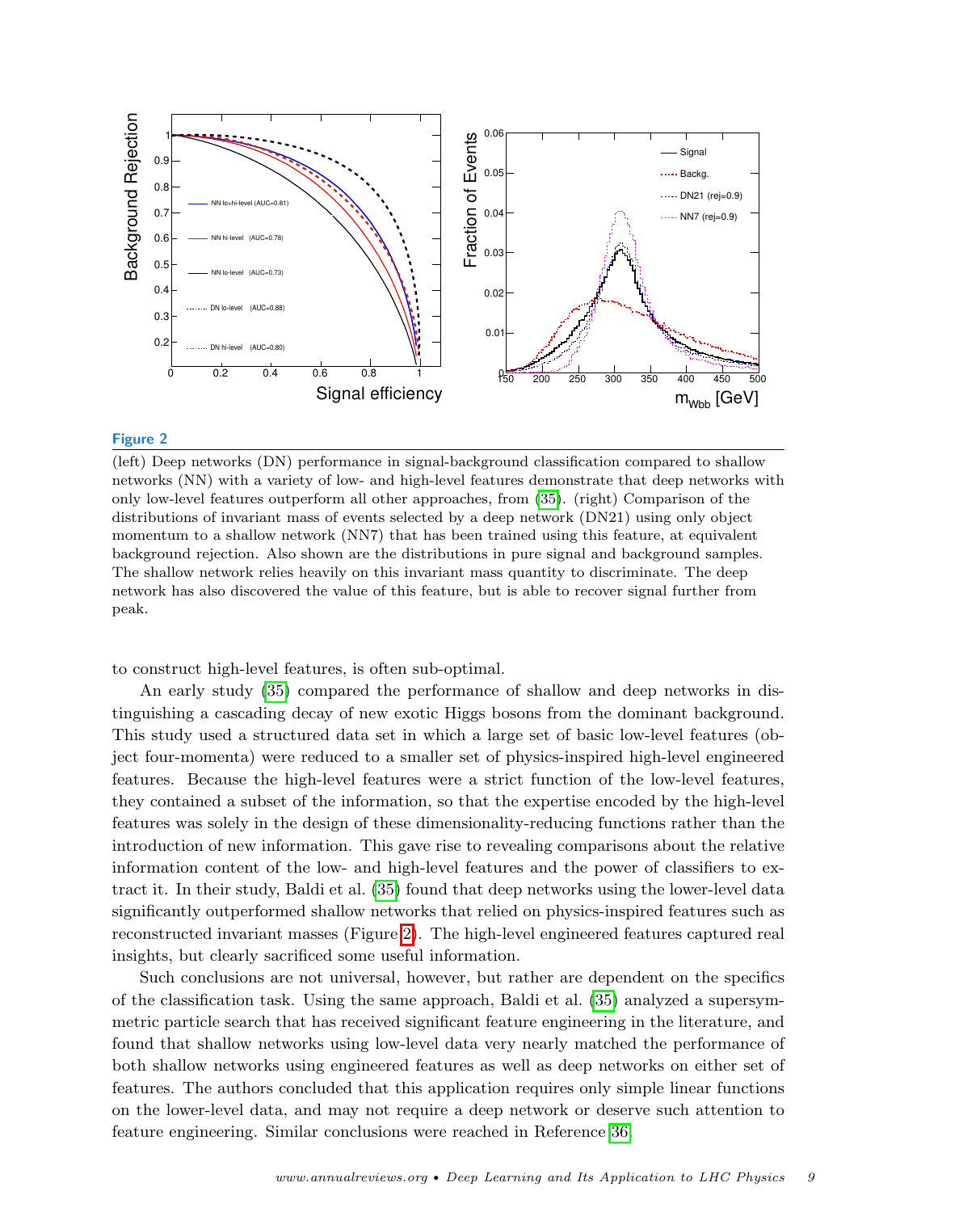

<span id="page-8-0"></span>(left) Deep networks (DN) performance in signal-background classification compared to shallow networks (NN) with a variety of low- and high-level features demonstrate that deep networks with only low-level features outperform all other approaches, from [\(35\)](#page-19-16). (right) Comparison of the distributions of invariant mass of events selected by a deep network (DN21) using only object momentum to a shallow network (NN7) that has been trained using this feature, at equivalent background rejection. Also shown are the distributions in pure signal and background samples. The shallow network relies heavily on this invariant mass quantity to discriminate. The deep network has also discovered the value of this feature, but is able to recover signal further from peak.

to construct high-level features, is often sub-optimal.

An early study [\(35\)](#page-19-16) compared the performance of shallow and deep networks in distinguishing a cascading decay of new exotic Higgs bosons from the dominant background. This study used a structured data set in which a large set of basic low-level features (object four-momenta) were reduced to a smaller set of physics-inspired high-level engineered features. Because the high-level features were a strict function of the low-level features, they contained a subset of the information, so that the expertise encoded by the high-level features was solely in the design of these dimensionality-reducing functions rather than the introduction of new information. This gave rise to revealing comparisons about the relative information content of the low- and high-level features and the power of classifiers to extract it. In their study, Baldi et al. [\(35\)](#page-19-16) found that deep networks using the lower-level data significantly outperformed shallow networks that relied on physics-inspired features such as reconstructed invariant masses (Figure [2\)](#page-8-0). The high-level engineered features captured real insights, but clearly sacrificed some useful information.

Such conclusions are not universal, however, but rather are dependent on the specifics of the classification task. Using the same approach, Baldi et al. [\(35\)](#page-19-16) analyzed a supersymmetric particle search that has received significant feature engineering in the literature, and found that shallow networks using low-level data very nearly matched the performance of both shallow networks using engineered features as well as deep networks on either set of features. The authors concluded that this application requires only simple linear functions on the lower-level data, and may not require a deep network or deserve such attention to feature engineering. Similar conclusions were reached in Reference [36.](#page-19-17)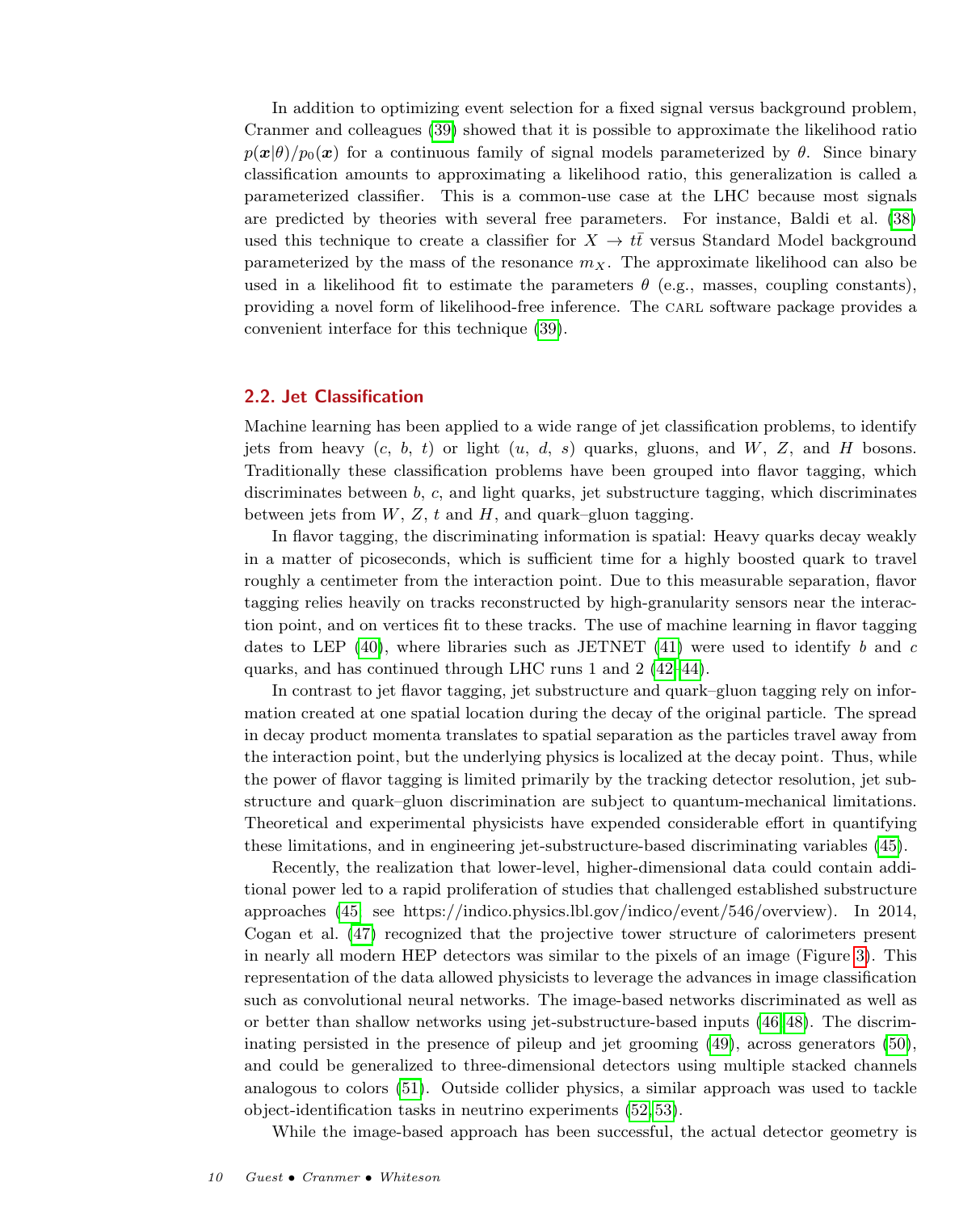In addition to optimizing event selection for a fixed signal versus background problem, Cranmer and colleagues [\(39\)](#page-19-18) showed that it is possible to approximate the likelihood ratio  $p(x|\theta)/p_0(x)$  for a continuous family of signal models parameterized by  $\theta$ . Since binary classification amounts to approximating a likelihood ratio, this generalization is called a parameterized classifier. This is a common-use case at the LHC because most signals are predicted by theories with several free parameters. For instance, Baldi et al. [\(38\)](#page-19-19) used this technique to create a classifier for  $X \to t\bar{t}$  versus Standard Model background parameterized by the mass of the resonance  $m<sub>X</sub>$ . The approximate likelihood can also be used in a likelihood fit to estimate the parameters  $\theta$  (e.g., masses, coupling constants), providing a novel form of likelihood-free inference. The CARL software package provides a convenient interface for this technique [\(39\)](#page-19-18).

## <span id="page-9-0"></span>2.2. Jet Classification

Machine learning has been applied to a wide range of jet classification problems, to identify jets from heavy  $(c, b, t)$  or light  $(u, d, s)$  quarks, gluons, and  $W$ , Z, and H bosons. Traditionally these classification problems have been grouped into flavor tagging, which discriminates between b, c, and light quarks, jet substructure tagging, which discriminates between jets from  $W$ ,  $Z$ ,  $t$  and  $H$ , and quark–gluon tagging.

In flavor tagging, the discriminating information is spatial: Heavy quarks decay weakly in a matter of picoseconds, which is sufficient time for a highly boosted quark to travel roughly a centimeter from the interaction point. Due to this measurable separation, flavor tagging relies heavily on tracks reconstructed by high-granularity sensors near the interaction point, and on vertices fit to these tracks. The use of machine learning in flavor tagging dates to LEP  $(40)$ , where libraries such as JETNET  $(41)$  were used to identify b and c quarks, and has continued through LHC runs 1 and 2 [\(42–](#page-19-22)[44\)](#page-19-23).

In contrast to jet flavor tagging, jet substructure and quark–gluon tagging rely on information created at one spatial location during the decay of the original particle. The spread in decay product momenta translates to spatial separation as the particles travel away from the interaction point, but the underlying physics is localized at the decay point. Thus, while the power of flavor tagging is limited primarily by the tracking detector resolution, jet substructure and quark–gluon discrimination are subject to quantum-mechanical limitations. Theoretical and experimental physicists have expended considerable effort in quantifying these limitations, and in engineering jet-substructure-based discriminating variables [\(45\)](#page-19-24).

Recently, the realization that lower-level, higher-dimensional data could contain additional power led to a rapid proliferation of studies that challenged established substructure approaches [\(45;](#page-19-24) see https://indico.physics.lbl.gov/indico/event/546/overview). In 2014, Cogan et al. [\(47\)](#page-19-25) recognized that the projective tower structure of calorimeters present in nearly all modern HEP detectors was similar to the pixels of an image (Figure [3\)](#page-10-0). This representation of the data allowed physicists to leverage the advances in image classification such as convolutional neural networks. The image-based networks discriminated as well as or better than shallow networks using jet-substructure-based inputs [\(46,](#page-19-26) [48\)](#page-19-27). The discriminating persisted in the presence of pileup and jet grooming [\(49\)](#page-19-28), across generators [\(50\)](#page-19-29), and could be generalized to three-dimensional detectors using multiple stacked channels analogous to colors [\(51\)](#page-19-30). Outside collider physics, a similar approach was used to tackle object-identification tasks in neutrino experiments [\(52,](#page-19-31) [53\)](#page-19-32).

While the image-based approach has been successful, the actual detector geometry is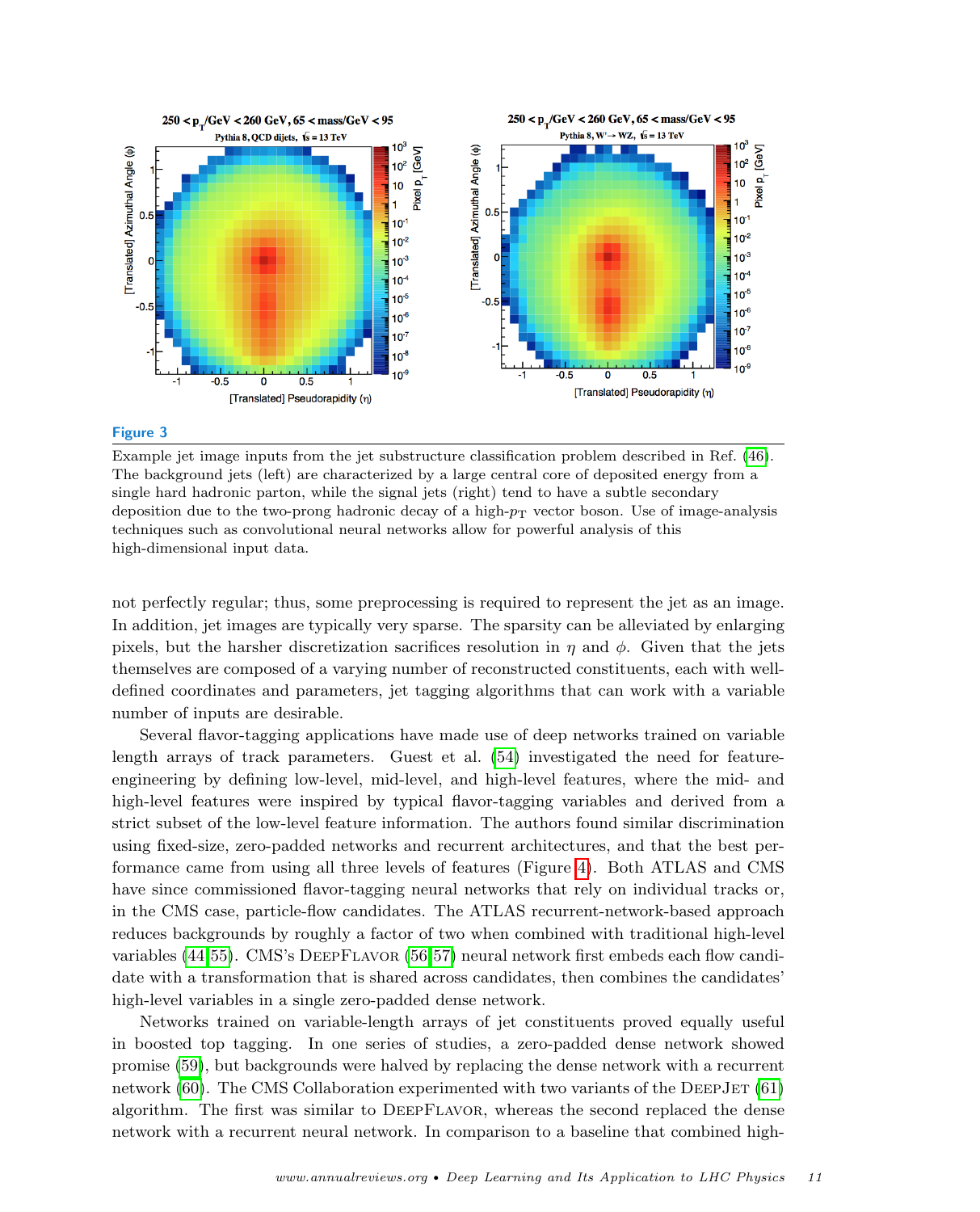

<span id="page-10-0"></span>Example jet image inputs from the jet substructure classification problem described in Ref. [\(46\)](#page-19-26). The background jets (left) are characterized by a large central core of deposited energy from a single hard hadronic parton, while the signal jets (right) tend to have a subtle secondary deposition due to the two-prong hadronic decay of a high- $p<sub>T</sub>$  vector boson. Use of image-analysis techniques such as convolutional neural networks allow for powerful analysis of this high-dimensional input data.

not perfectly regular; thus, some preprocessing is required to represent the jet as an image. In addition, jet images are typically very sparse. The sparsity can be alleviated by enlarging pixels, but the harsher discretization sacrifices resolution in  $\eta$  and  $\phi$ . Given that the jets themselves are composed of a varying number of reconstructed constituents, each with welldefined coordinates and parameters, jet tagging algorithms that can work with a variable number of inputs are desirable.

Several flavor-tagging applications have made use of deep networks trained on variable length arrays of track parameters. Guest et al. [\(54\)](#page-19-33) investigated the need for featureengineering by defining low-level, mid-level, and high-level features, where the mid- and high-level features were inspired by typical flavor-tagging variables and derived from a strict subset of the low-level feature information. The authors found similar discrimination using fixed-size, zero-padded networks and recurrent architectures, and that the best performance came from using all three levels of features (Figure [4\)](#page-11-0). Both ATLAS and CMS have since commissioned flavor-tagging neural networks that rely on individual tracks or, in the CMS case, particle-flow candidates. The ATLAS recurrent-network-based approach reduces backgrounds by roughly a factor of two when combined with traditional high-level variables [\(44,](#page-19-23)[55\)](#page-19-34). CMS's DeepFlavor [\(56,](#page-19-35)[57\)](#page-19-36) neural network first embeds each flow candidate with a transformation that is shared across candidates, then combines the candidates' high-level variables in a single zero-padded dense network.

Networks trained on variable-length arrays of jet constituents proved equally useful in boosted top tagging. In one series of studies, a zero-padded dense network showed promise [\(59\)](#page-19-37), but backgrounds were halved by replacing the dense network with a recurrent network  $(60)$ . The CMS Collaboration experimented with two variants of the DEEPJET  $(61)$ algorithm. The first was similar to DeepFlavor, whereas the second replaced the dense network with a recurrent neural network. In comparison to a baseline that combined high-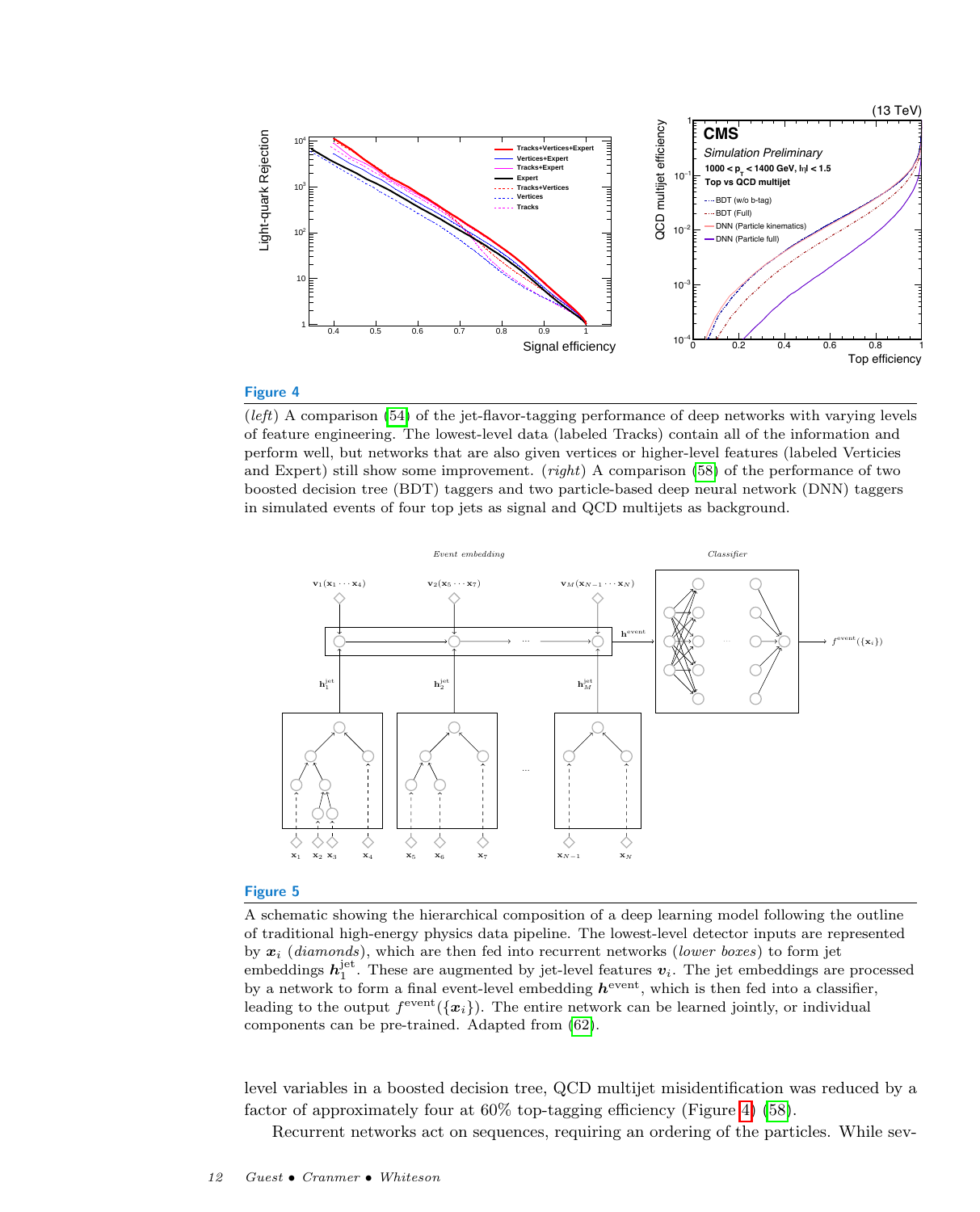

<span id="page-11-0"></span>(left) A comparison [\(54\)](#page-19-33) of the jet-flavor-tagging performance of deep networks with varying levels of feature engineering. The lowest-level data (labeled Tracks) contain all of the information and perform well, but networks that are also given vertices or higher-level features (labeled Verticies and Expert) still show some improvement. (*right*) A comparison [\(58\)](#page-19-40) of the performance of two boosted decision tree (BDT) taggers and two particle-based deep neural network (DNN) taggers in simulated events of four top jets as signal and QCD multijets as background.



#### Figure 5

<span id="page-11-1"></span>A schematic showing the hierarchical composition of a deep learning model following the outline of traditional high-energy physics data pipeline. The lowest-level detector inputs are represented by  $x_i$  (diamonds), which are then fed into recurrent networks (lower boxes) to form jet embeddings  $h_1^{\text{jet}}$ . These are augmented by jet-level features  $v_i$ . The jet embeddings are processed by a network to form a final event-level embedding  $h^{\text{event}}$ , which is then fed into a classifier, leading to the output  $f^{\text{event}}(\{x_i\})$ . The entire network can be learned jointly, or individual components can be pre-trained. Adapted from [\(62\)](#page-20-0).

level variables in a boosted decision tree, QCD multijet misidentification was reduced by a factor of approximately four at 60% top-tagging efficiency (Figure [4\)](#page-11-0) [\(58\)](#page-19-40).

Recurrent networks act on sequences, requiring an ordering of the particles. While sev-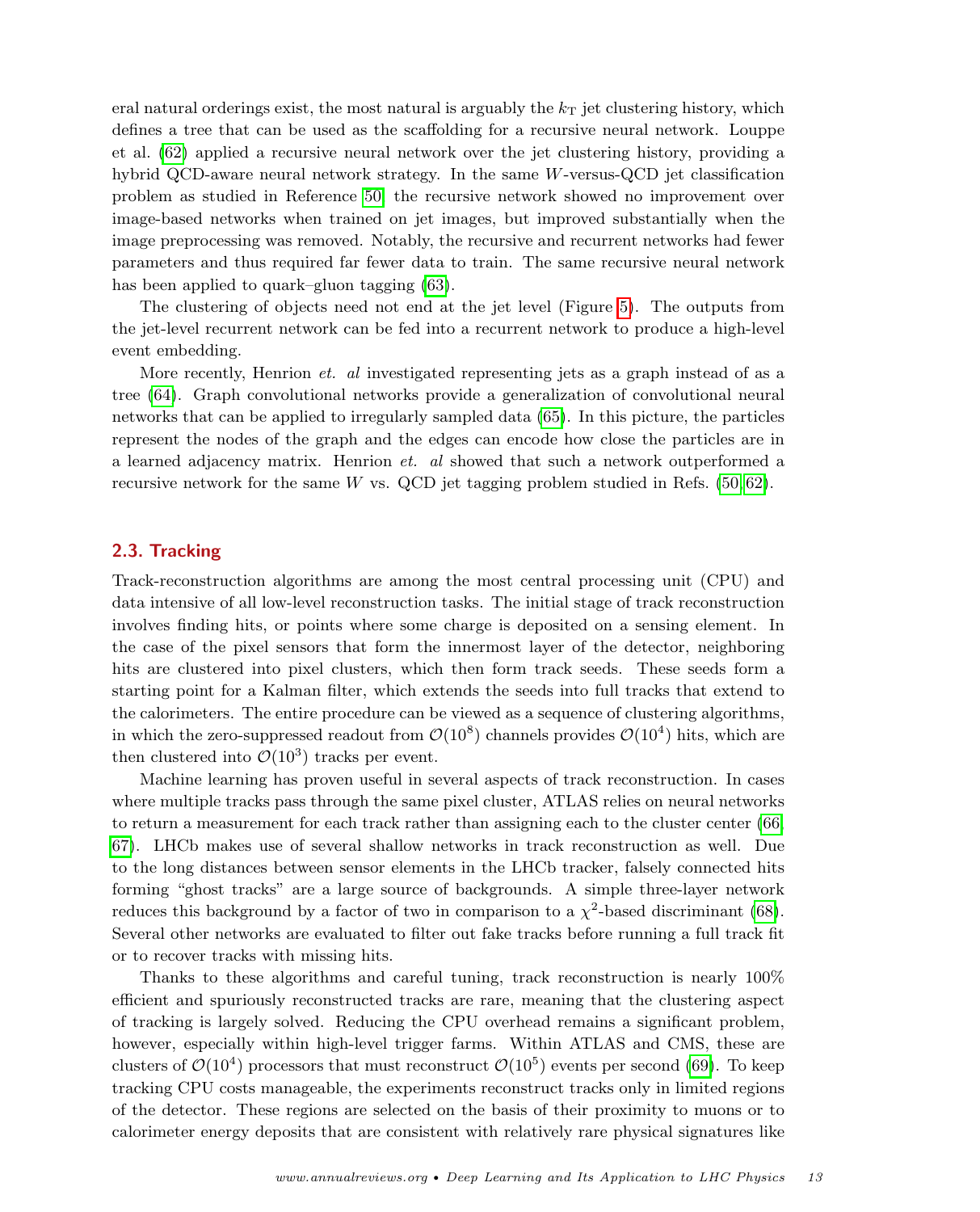eral natural orderings exist, the most natural is arguably the  $k<sub>T</sub>$  jet clustering history, which defines a tree that can be used as the scaffolding for a recursive neural network. Louppe et al. [\(62\)](#page-20-0) applied a recursive neural network over the jet clustering history, providing a hybrid QCD-aware neural network strategy. In the same W-versus-QCD jet classification problem as studied in Reference [50,](#page-19-29) the recursive network showed no improvement over image-based networks when trained on jet images, but improved substantially when the image preprocessing was removed. Notably, the recursive and recurrent networks had fewer parameters and thus required far fewer data to train. The same recursive neural network has been applied to quark–gluon tagging [\(63\)](#page-20-1).

The clustering of objects need not end at the jet level (Figure [5\)](#page-11-1). The outputs from the jet-level recurrent network can be fed into a recurrent network to produce a high-level event embedding.

More recently, Henrion *et. al* investigated representing jets as a graph instead of as a tree [\(64\)](#page-20-2). Graph convolutional networks provide a generalization of convolutional neural networks that can be applied to irregularly sampled data [\(65\)](#page-20-3). In this picture, the particles represent the nodes of the graph and the edges can encode how close the particles are in a learned adjacency matrix. Henrion et. al showed that such a network outperformed a recursive network for the same W vs. QCD jet tagging problem studied in Refs.  $(50, 62)$  $(50, 62)$ .

## <span id="page-12-0"></span>2.3. Tracking

Track-reconstruction algorithms are among the most central processing unit (CPU) and data intensive of all low-level reconstruction tasks. The initial stage of track reconstruction involves finding hits, or points where some charge is deposited on a sensing element. In the case of the pixel sensors that form the innermost layer of the detector, neighboring hits are clustered into pixel clusters, which then form track seeds. These seeds form a starting point for a Kalman filter, which extends the seeds into full tracks that extend to the calorimeters. The entire procedure can be viewed as a sequence of clustering algorithms, in which the zero-suppressed readout from  $\mathcal{O}(10^8)$  channels provides  $\mathcal{O}(10^4)$  hits, which are then clustered into  $\mathcal{O}(10^3)$  tracks per event.

Machine learning has proven useful in several aspects of track reconstruction. In cases where multiple tracks pass through the same pixel cluster, ATLAS relies on neural networks to return a measurement for each track rather than assigning each to the cluster center [\(66,](#page-20-4) [67\)](#page-20-5). LHCb makes use of several shallow networks in track reconstruction as well. Due to the long distances between sensor elements in the LHCb tracker, falsely connected hits forming "ghost tracks" are a large source of backgrounds. A simple three-layer network reduces this background by a factor of two in comparison to a  $\chi^2$ -based discriminant [\(68\)](#page-20-6). Several other networks are evaluated to filter out fake tracks before running a full track fit or to recover tracks with missing hits.

Thanks to these algorithms and careful tuning, track reconstruction is nearly 100% efficient and spuriously reconstructed tracks are rare, meaning that the clustering aspect of tracking is largely solved. Reducing the CPU overhead remains a significant problem, however, especially within high-level trigger farms. Within ATLAS and CMS, these are clusters of  $\mathcal{O}(10^4)$  processors that must reconstruct  $\mathcal{O}(10^5)$  events per second [\(69\)](#page-20-7). To keep tracking CPU costs manageable, the experiments reconstruct tracks only in limited regions of the detector. These regions are selected on the basis of their proximity to muons or to calorimeter energy deposits that are consistent with relatively rare physical signatures like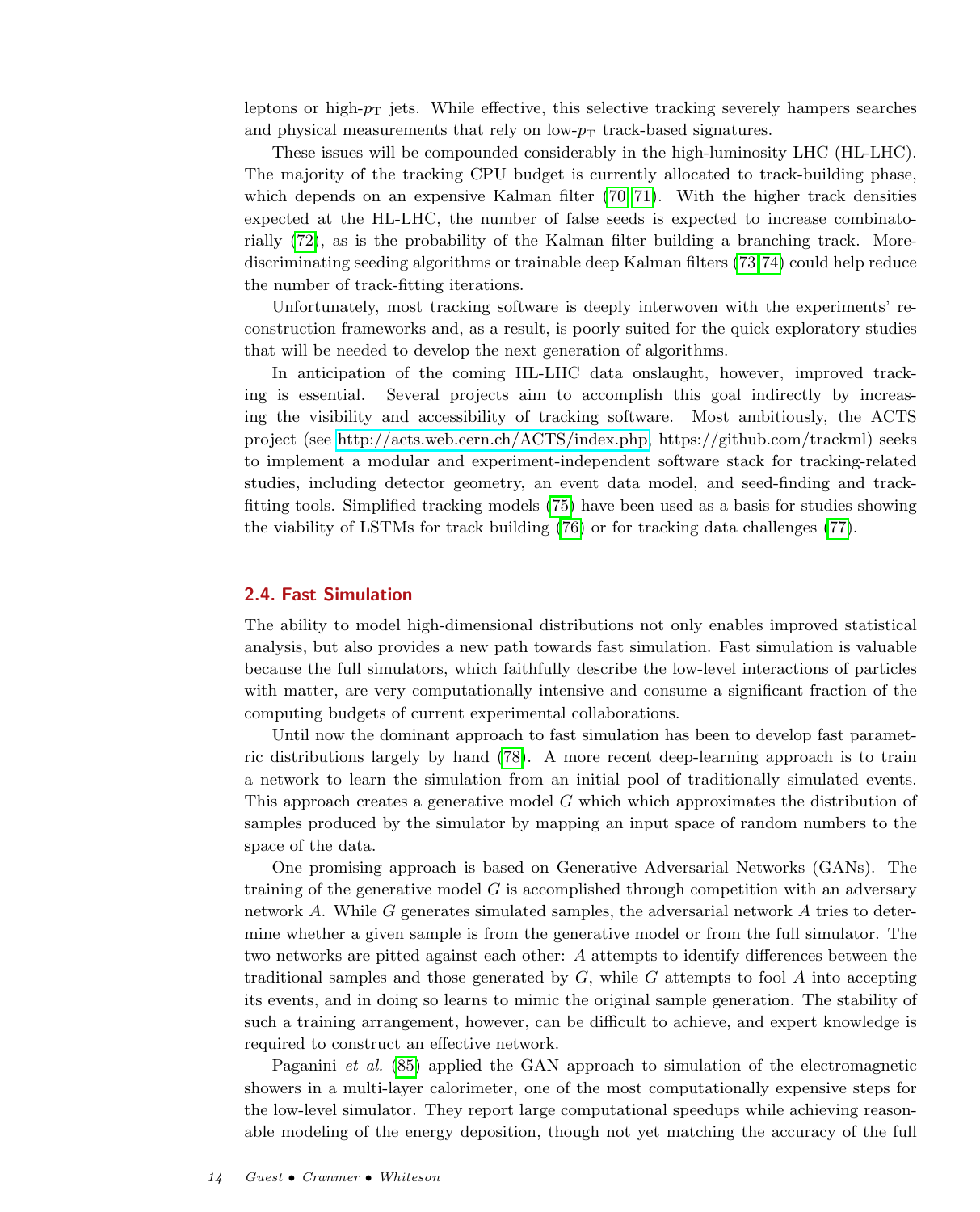leptons or high- $p<sub>T</sub>$  jets. While effective, this selective tracking severely hampers searches and physical measurements that rely on low- $p_T$  track-based signatures.

These issues will be compounded considerably in the high-luminosity LHC (HL-LHC). The majority of the tracking CPU budget is currently allocated to track-building phase, which depends on an expensive Kalman filter [\(70,](#page-20-8) [71\)](#page-20-9). With the higher track densities expected at the HL-LHC, the number of false seeds is expected to increase combinatorially [\(72\)](#page-20-10), as is the probability of the Kalman filter building a branching track. Morediscriminating seeding algorithms or trainable deep Kalman filters [\(73,](#page-20-11)[74\)](#page-20-12) could help reduce the number of track-fitting iterations.

Unfortunately, most tracking software is deeply interwoven with the experiments' reconstruction frameworks and, as a result, is poorly suited for the quick exploratory studies that will be needed to develop the next generation of algorithms.

In anticipation of the coming HL-LHC data onslaught, however, improved tracking is essential. Several projects aim to accomplish this goal indirectly by increasing the visibility and accessibility of tracking software. Most ambitiously, the ACTS project (see [http://acts.web.cern.ch/ACTS/index.php,](http://acts.web.cern.ch/ACTS/index.php) https://github.com/trackml) seeks to implement a modular and experiment-independent software stack for tracking-related studies, including detector geometry, an event data model, and seed-finding and trackfitting tools. Simplified tracking models [\(75\)](#page-20-13) have been used as a basis for studies showing the viability of LSTMs for track building [\(76\)](#page-20-14) or for tracking data challenges [\(77\)](#page-20-15).

## <span id="page-13-0"></span>2.4. Fast Simulation

The ability to model high-dimensional distributions not only enables improved statistical analysis, but also provides a new path towards fast simulation. Fast simulation is valuable because the full simulators, which faithfully describe the low-level interactions of particles with matter, are very computationally intensive and consume a significant fraction of the computing budgets of current experimental collaborations.

Until now the dominant approach to fast simulation has been to develop fast parametric distributions largely by hand [\(78\)](#page-20-16). A more recent deep-learning approach is to train a network to learn the simulation from an initial pool of traditionally simulated events. This approach creates a generative model G which which approximates the distribution of samples produced by the simulator by mapping an input space of random numbers to the space of the data.

One promising approach is based on Generative Adversarial Networks (GANs). The training of the generative model  $G$  is accomplished through competition with an adversary network A. While G generates simulated samples, the adversarial network A tries to determine whether a given sample is from the generative model or from the full simulator. The two networks are pitted against each other: A attempts to identify differences between the traditional samples and those generated by  $G$ , while  $G$  attempts to fool  $A$  into accepting its events, and in doing so learns to mimic the original sample generation. The stability of such a training arrangement, however, can be difficult to achieve, and expert knowledge is required to construct an effective network.

Paganini et al. [\(85\)](#page-20-17) applied the GAN approach to simulation of the electromagnetic showers in a multi-layer calorimeter, one of the most computationally expensive steps for the low-level simulator. They report large computational speedups while achieving reasonable modeling of the energy deposition, though not yet matching the accuracy of the full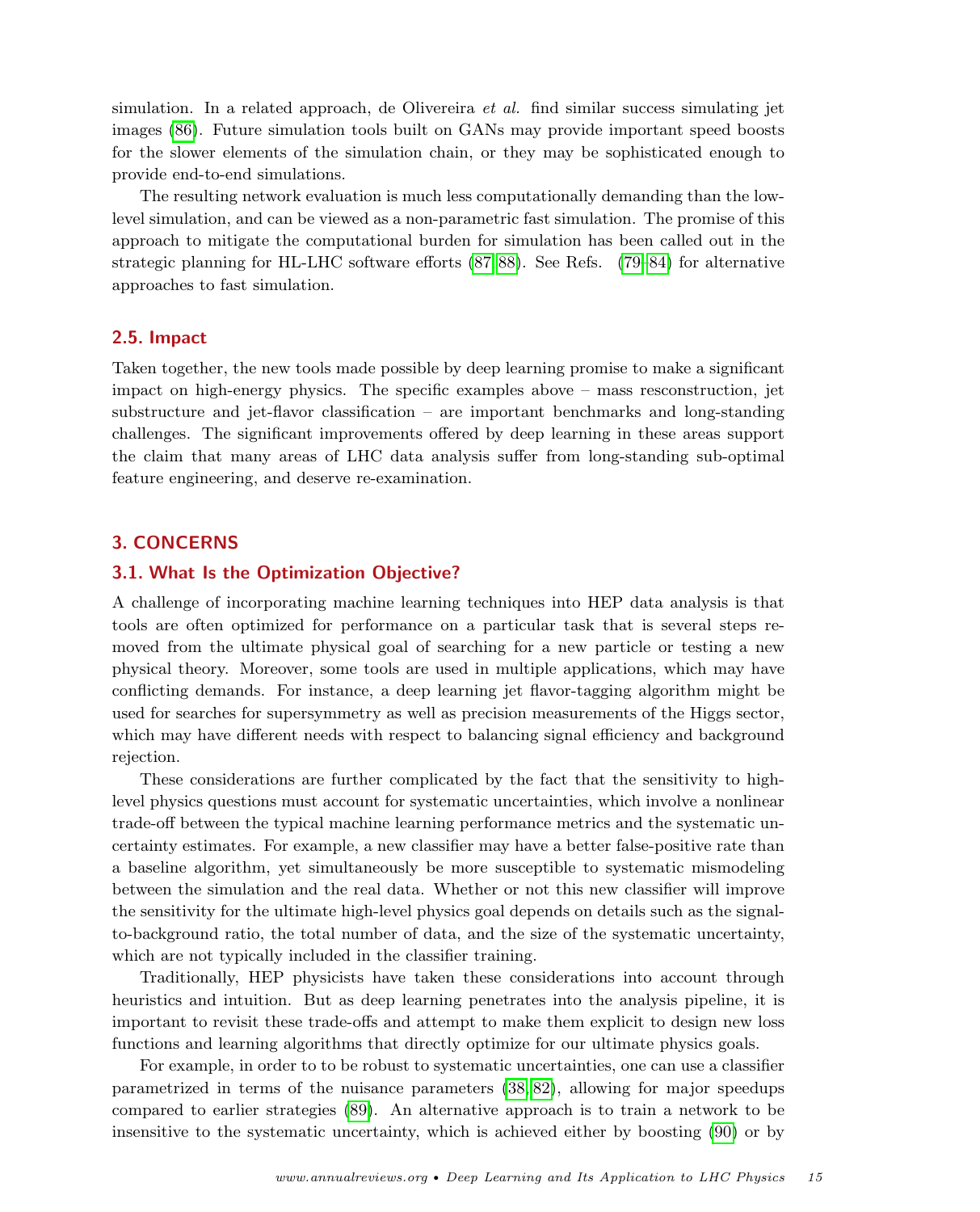simulation. In a related approach, de Olivereira et al. find similar success simulating jet images [\(86\)](#page-20-18). Future simulation tools built on GANs may provide important speed boosts for the slower elements of the simulation chain, or they may be sophisticated enough to provide end-to-end simulations.

The resulting network evaluation is much less computationally demanding than the lowlevel simulation, and can be viewed as a non-parametric fast simulation. The promise of this approach to mitigate the computational burden for simulation has been called out in the strategic planning for HL-LHC software efforts [\(87,](#page-20-19) [88\)](#page-20-20). See Refs. [\(79–](#page-20-21)[84\)](#page-20-22) for alternative approaches to fast simulation.

#### <span id="page-14-0"></span>2.5. Impact

Taken together, the new tools made possible by deep learning promise to make a significant impact on high-energy physics. The specific examples above – mass resconstruction, jet substructure and jet-flavor classification – are important benchmarks and long-standing challenges. The significant improvements offered by deep learning in these areas support the claim that many areas of LHC data analysis suffer from long-standing sub-optimal feature engineering, and deserve re-examination.

## <span id="page-14-1"></span>3. CONCERNS

#### <span id="page-14-2"></span>3.1. What Is the Optimization Objective?

A challenge of incorporating machine learning techniques into HEP data analysis is that tools are often optimized for performance on a particular task that is several steps removed from the ultimate physical goal of searching for a new particle or testing a new physical theory. Moreover, some tools are used in multiple applications, which may have conflicting demands. For instance, a deep learning jet flavor-tagging algorithm might be used for searches for supersymmetry as well as precision measurements of the Higgs sector, which may have different needs with respect to balancing signal efficiency and background rejection.

These considerations are further complicated by the fact that the sensitivity to highlevel physics questions must account for systematic uncertainties, which involve a nonlinear trade-off between the typical machine learning performance metrics and the systematic uncertainty estimates. For example, a new classifier may have a better false-positive rate than a baseline algorithm, yet simultaneously be more susceptible to systematic mismodeling between the simulation and the real data. Whether or not this new classifier will improve the sensitivity for the ultimate high-level physics goal depends on details such as the signalto-background ratio, the total number of data, and the size of the systematic uncertainty, which are not typically included in the classifier training.

Traditionally, HEP physicists have taken these considerations into account through heuristics and intuition. But as deep learning penetrates into the analysis pipeline, it is important to revisit these trade-offs and attempt to make them explicit to design new loss functions and learning algorithms that directly optimize for our ultimate physics goals.

For example, in order to to be robust to systematic uncertainties, one can use a classifier parametrized in terms of the nuisance parameters [\(38,](#page-19-19) [82\)](#page-20-23), allowing for major speedups compared to earlier strategies [\(89\)](#page-20-24). An alternative approach is to train a network to be insensitive to the systematic uncertainty, which is achieved either by boosting [\(90\)](#page-20-25) or by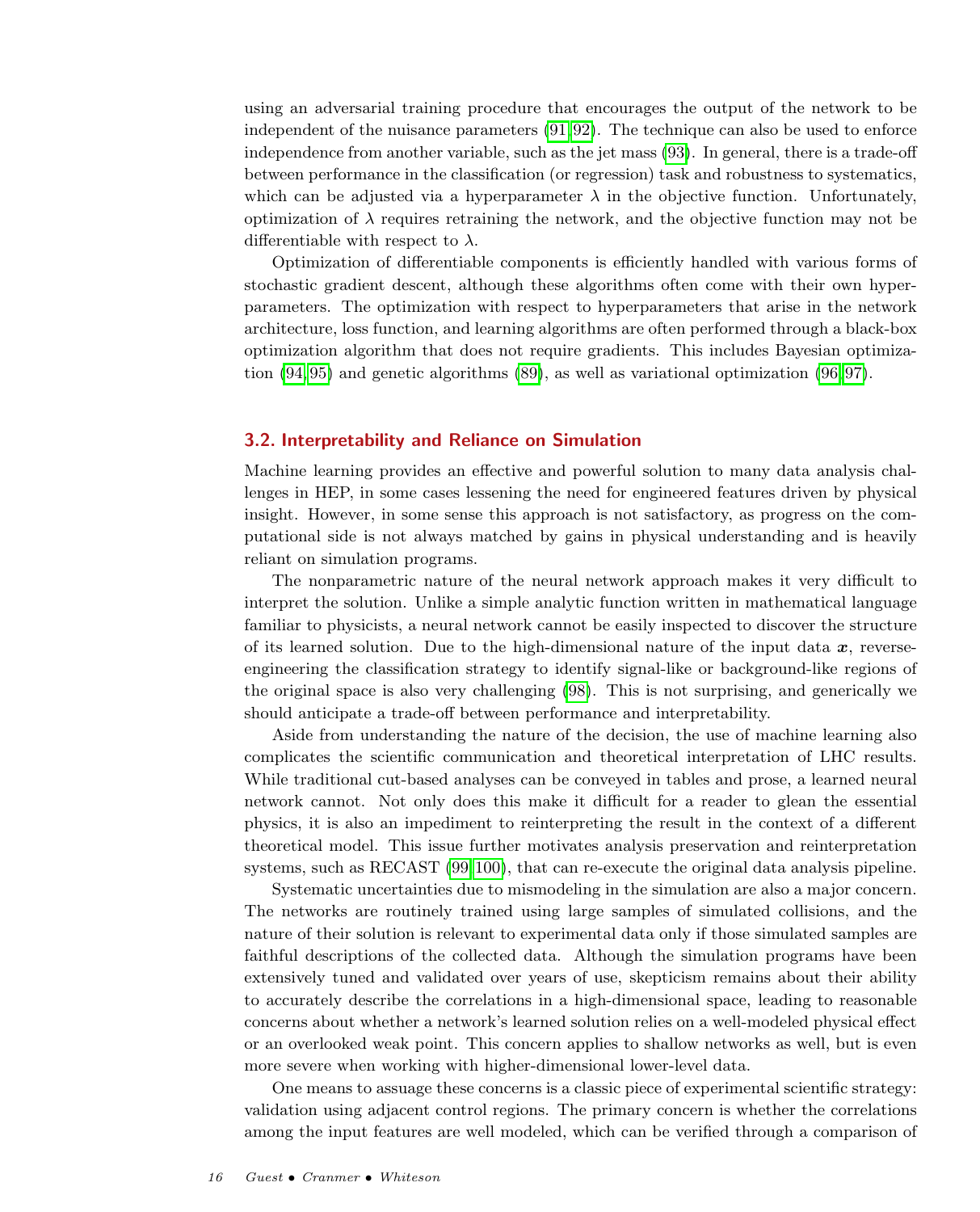using an adversarial training procedure that encourages the output of the network to be independent of the nuisance parameters [\(91,](#page-20-26) [92\)](#page-20-27). The technique can also be used to enforce independence from another variable, such as the jet mass [\(93\)](#page-20-28). In general, there is a trade-off between performance in the classification (or regression) task and robustness to systematics, which can be adjusted via a hyperparameter  $\lambda$  in the objective function. Unfortunately, optimization of  $\lambda$  requires retraining the network, and the objective function may not be differentiable with respect to  $\lambda$ .

Optimization of differentiable components is efficiently handled with various forms of stochastic gradient descent, although these algorithms often come with their own hyperparameters. The optimization with respect to hyperparameters that arise in the network architecture, loss function, and learning algorithms are often performed through a black-box optimization algorithm that does not require gradients. This includes Bayesian optimization  $(94, 95)$  $(94, 95)$  and genetic algorithms  $(89)$ , as well as variational optimization  $(96, 97)$  $(96, 97)$ .

## <span id="page-15-0"></span>3.2. Interpretability and Reliance on Simulation

Machine learning provides an effective and powerful solution to many data analysis challenges in HEP, in some cases lessening the need for engineered features driven by physical insight. However, in some sense this approach is not satisfactory, as progress on the computational side is not always matched by gains in physical understanding and is heavily reliant on simulation programs.

The nonparametric nature of the neural network approach makes it very difficult to interpret the solution. Unlike a simple analytic function written in mathematical language familiar to physicists, a neural network cannot be easily inspected to discover the structure of its learned solution. Due to the high-dimensional nature of the input data  $x$ , reverseengineering the classification strategy to identify signal-like or background-like regions of the original space is also very challenging [\(98\)](#page-20-33). This is not surprising, and generically we should anticipate a trade-off between performance and interpretability.

Aside from understanding the nature of the decision, the use of machine learning also complicates the scientific communication and theoretical interpretation of LHC results. While traditional cut-based analyses can be conveyed in tables and prose, a learned neural network cannot. Not only does this make it difficult for a reader to glean the essential physics, it is also an impediment to reinterpreting the result in the context of a different theoretical model. This issue further motivates analysis preservation and reinterpretation systems, such as RECAST [\(99,](#page-20-34)[100\)](#page-20-35), that can re-execute the original data analysis pipeline.

Systematic uncertainties due to mismodeling in the simulation are also a major concern. The networks are routinely trained using large samples of simulated collisions, and the nature of their solution is relevant to experimental data only if those simulated samples are faithful descriptions of the collected data. Although the simulation programs have been extensively tuned and validated over years of use, skepticism remains about their ability to accurately describe the correlations in a high-dimensional space, leading to reasonable concerns about whether a network's learned solution relies on a well-modeled physical effect or an overlooked weak point. This concern applies to shallow networks as well, but is even more severe when working with higher-dimensional lower-level data.

One means to assuage these concerns is a classic piece of experimental scientific strategy: validation using adjacent control regions. The primary concern is whether the correlations among the input features are well modeled, which can be verified through a comparison of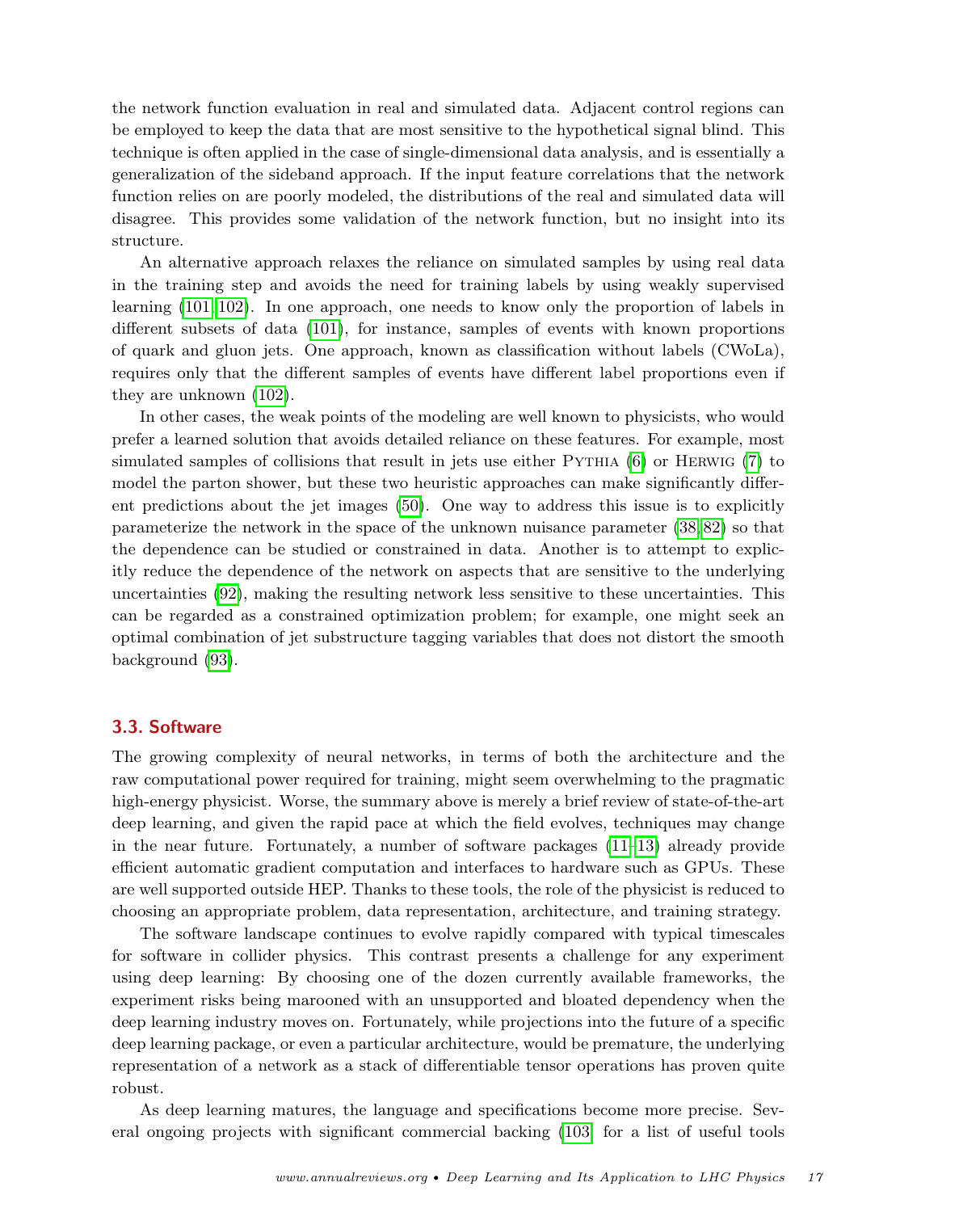the network function evaluation in real and simulated data. Adjacent control regions can be employed to keep the data that are most sensitive to the hypothetical signal blind. This technique is often applied in the case of single-dimensional data analysis, and is essentially a generalization of the sideband approach. If the input feature correlations that the network function relies on are poorly modeled, the distributions of the real and simulated data will disagree. This provides some validation of the network function, but no insight into its structure.

An alternative approach relaxes the reliance on simulated samples by using real data in the training step and avoids the need for training labels by using weakly supervised learning [\(101,](#page-20-36) [102\)](#page-21-0). In one approach, one needs to know only the proportion of labels in different subsets of data [\(101\)](#page-20-36), for instance, samples of events with known proportions of quark and gluon jets. One approach, known as classification without labels (CWoLa), requires only that the different samples of events have different label proportions even if they are unknown [\(102\)](#page-21-0).

In other cases, the weak points of the modeling are well known to physicists, who would prefer a learned solution that avoids detailed reliance on these features. For example, most simulated samples of collisions that result in jets use either PYTHIA [\(6\)](#page-18-3) or HERWIG [\(7\)](#page-18-4) to model the parton shower, but these two heuristic approaches can make significantly different predictions about the jet images [\(50\)](#page-19-29). One way to address this issue is to explicitly parameterize the network in the space of the unknown nuisance parameter [\(38,](#page-19-19) [82\)](#page-20-23) so that the dependence can be studied or constrained in data. Another is to attempt to explicitly reduce the dependence of the network on aspects that are sensitive to the underlying uncertainties [\(92\)](#page-20-27), making the resulting network less sensitive to these uncertainties. This can be regarded as a constrained optimization problem; for example, one might seek an optimal combination of jet substructure tagging variables that does not distort the smooth background [\(93\)](#page-20-28).

## <span id="page-16-0"></span>3.3. Software

The growing complexity of neural networks, in terms of both the architecture and the raw computational power required for training, might seem overwhelming to the pragmatic high-energy physicist. Worse, the summary above is merely a brief review of state-of-the-art deep learning, and given the rapid pace at which the field evolves, techniques may change in the near future. Fortunately, a number of software packages [\(11–](#page-18-14)[13\)](#page-18-15) already provide efficient automatic gradient computation and interfaces to hardware such as GPUs. These are well supported outside HEP. Thanks to these tools, the role of the physicist is reduced to choosing an appropriate problem, data representation, architecture, and training strategy.

The software landscape continues to evolve rapidly compared with typical timescales for software in collider physics. This contrast presents a challenge for any experiment using deep learning: By choosing one of the dozen currently available frameworks, the experiment risks being marooned with an unsupported and bloated dependency when the deep learning industry moves on. Fortunately, while projections into the future of a specific deep learning package, or even a particular architecture, would be premature, the underlying representation of a network as a stack of differentiable tensor operations has proven quite robust.

As deep learning matures, the language and specifications become more precise. Several ongoing projects with significant commercial backing [\(103;](#page-21-1) for a list of useful tools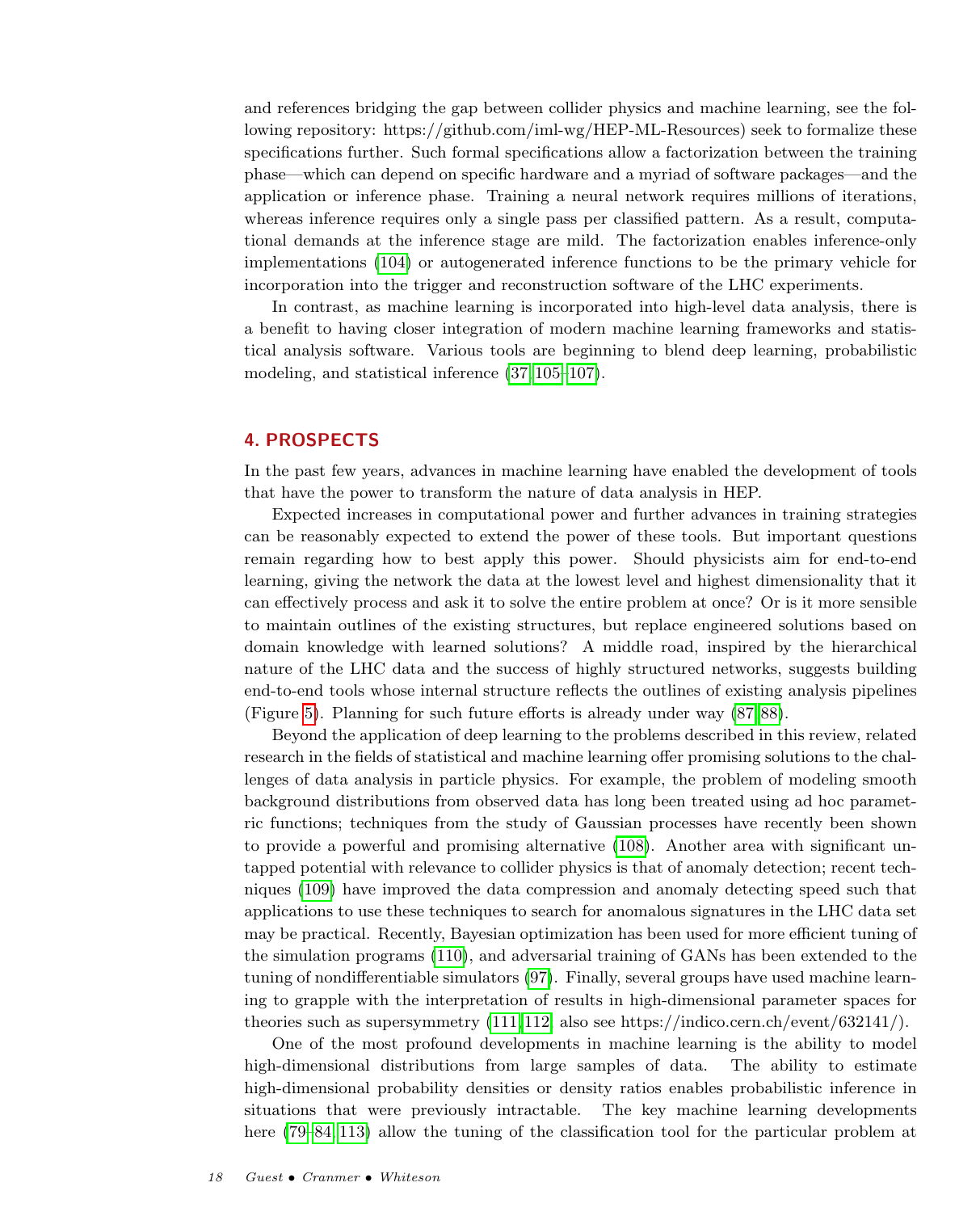and references bridging the gap between collider physics and machine learning, see the following repository: https://github.com/iml-wg/HEP-ML-Resources) seek to formalize these specifications further. Such formal specifications allow a factorization between the training phase—which can depend on specific hardware and a myriad of software packages—and the application or inference phase. Training a neural network requires millions of iterations, whereas inference requires only a single pass per classified pattern. As a result, computational demands at the inference stage are mild. The factorization enables inference-only implementations [\(104\)](#page-21-2) or autogenerated inference functions to be the primary vehicle for incorporation into the trigger and reconstruction software of the LHC experiments.

In contrast, as machine learning is incorporated into high-level data analysis, there is a benefit to having closer integration of modern machine learning frameworks and statistical analysis software. Various tools are beginning to blend deep learning, probabilistic modeling, and statistical inference [\(37,](#page-19-41) [105–](#page-21-3)[107\)](#page-21-4).

## <span id="page-17-0"></span>4. PROSPECTS

In the past few years, advances in machine learning have enabled the development of tools that have the power to transform the nature of data analysis in HEP.

Expected increases in computational power and further advances in training strategies can be reasonably expected to extend the power of these tools. But important questions remain regarding how to best apply this power. Should physicists aim for end-to-end learning, giving the network the data at the lowest level and highest dimensionality that it can effectively process and ask it to solve the entire problem at once? Or is it more sensible to maintain outlines of the existing structures, but replace engineered solutions based on domain knowledge with learned solutions? A middle road, inspired by the hierarchical nature of the LHC data and the success of highly structured networks, suggests building end-to-end tools whose internal structure reflects the outlines of existing analysis pipelines (Figure [5\)](#page-11-1). Planning for such future efforts is already under way [\(87,](#page-20-19) [88\)](#page-20-20).

Beyond the application of deep learning to the problems described in this review, related research in the fields of statistical and machine learning offer promising solutions to the challenges of data analysis in particle physics. For example, the problem of modeling smooth background distributions from observed data has long been treated using ad hoc parametric functions; techniques from the study of Gaussian processes have recently been shown to provide a powerful and promising alternative [\(108\)](#page-21-5). Another area with significant untapped potential with relevance to collider physics is that of anomaly detection; recent techniques [\(109\)](#page-21-6) have improved the data compression and anomaly detecting speed such that applications to use these techniques to search for anomalous signatures in the LHC data set may be practical. Recently, Bayesian optimization has been used for more efficient tuning of the simulation programs [\(110\)](#page-21-7), and adversarial training of GANs has been extended to the tuning of nondifferentiable simulators [\(97\)](#page-20-32). Finally, several groups have used machine learning to grapple with the interpretation of results in high-dimensional parameter spaces for theories such as supersymmetry [\(111,](#page-21-8) [112;](#page-21-9) also see https://indico.cern.ch/event/632141/).

One of the most profound developments in machine learning is the ability to model high-dimensional distributions from large samples of data. The ability to estimate high-dimensional probability densities or density ratios enables probabilistic inference in situations that were previously intractable. The key machine learning developments here  $(79–84, 113)$  $(79–84, 113)$  $(79–84, 113)$  allow the tuning of the classification tool for the particular problem at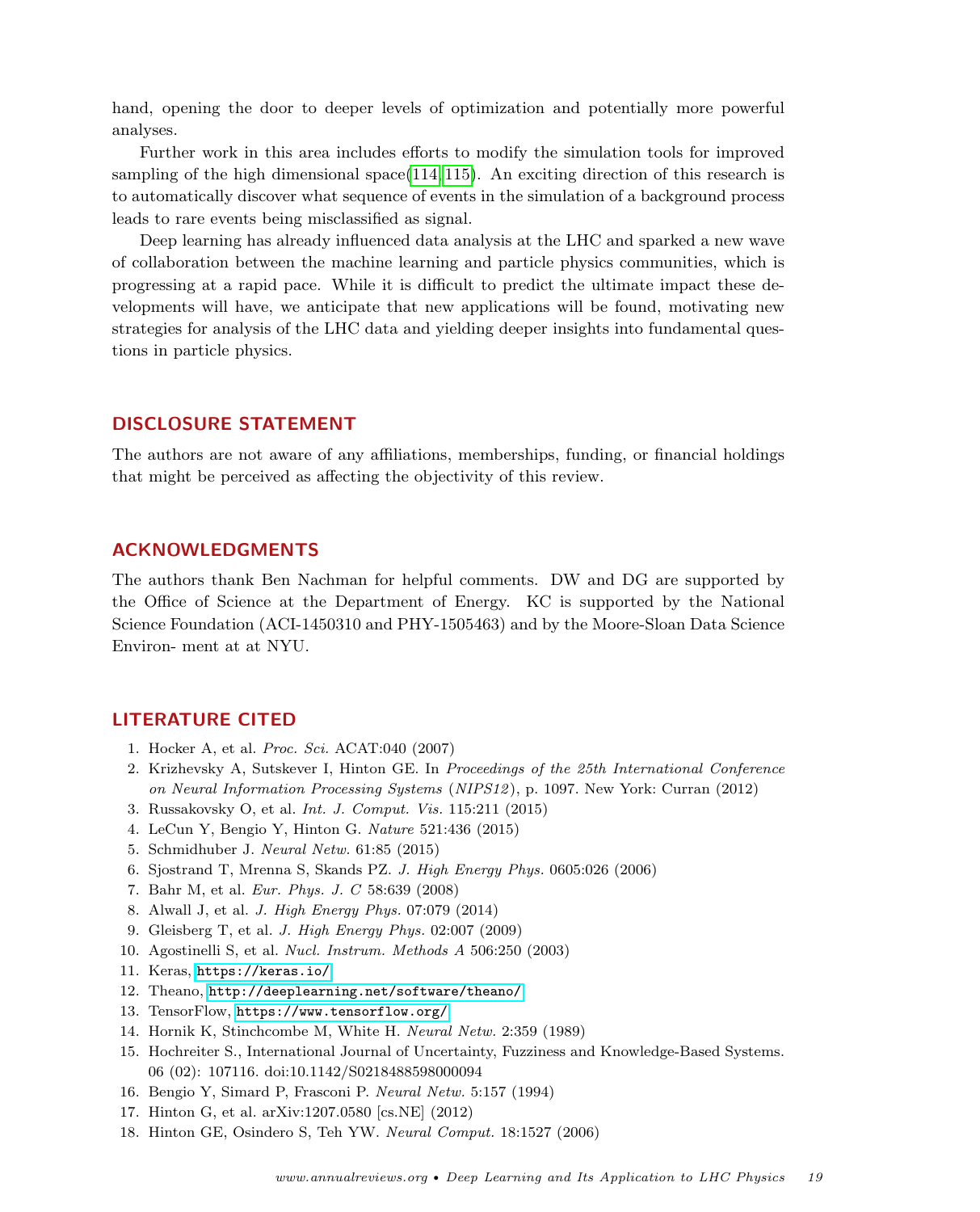hand, opening the door to deeper levels of optimization and potentially more powerful analyses.

Further work in this area includes efforts to modify the simulation tools for improved sampling of the high dimensional space[\(114,](#page-21-11) [115\)](#page-21-12). An exciting direction of this research is to automatically discover what sequence of events in the simulation of a background process leads to rare events being misclassified as signal.

Deep learning has already influenced data analysis at the LHC and sparked a new wave of collaboration between the machine learning and particle physics communities, which is progressing at a rapid pace. While it is difficult to predict the ultimate impact these developments will have, we anticipate that new applications will be found, motivating new strategies for analysis of the LHC data and yielding deeper insights into fundamental questions in particle physics.

## DISCLOSURE STATEMENT

The authors are not aware of any affiliations, memberships, funding, or financial holdings that might be perceived as affecting the objectivity of this review.

## ACKNOWLEDGMENTS

The authors thank Ben Nachman for helpful comments. DW and DG are supported by the Office of Science at the Department of Energy. KC is supported by the National Science Foundation (ACI-1450310 and PHY-1505463) and by the Moore-Sloan Data Science Environ- ment at at NYU.

## LITERATURE CITED

- <span id="page-18-0"></span>1. Hocker A, et al. Proc. Sci. ACAT:040 (2007)
- <span id="page-18-1"></span>2. Krizhevsky A, Sutskever I, Hinton GE. In Proceedings of the 25th International Conference on Neural Information Processing Systems (NIPS12), p. 1097. New York: Curran (2012)
- <span id="page-18-8"></span>3. Russakovsky O, et al. Int. J. Comput. Vis. 115:211 (2015)
- 4. LeCun Y, Bengio Y, Hinton G. Nature 521:436 (2015)
- <span id="page-18-2"></span>5. Schmidhuber J. Neural Netw. 61:85 (2015)
- <span id="page-18-3"></span>6. Sjostrand T, Mrenna S, Skands PZ. J. High Energy Phys. 0605:026 (2006)
- <span id="page-18-4"></span>7. Bahr M, et al. Eur. Phys. J. C 58:639 (2008)
- <span id="page-18-5"></span>8. Alwall J, et al. J. High Energy Phys. 07:079 (2014)
- <span id="page-18-6"></span>9. Gleisberg T, et al. J. High Energy Phys. 02:007 (2009)
- <span id="page-18-7"></span>10. Agostinelli S, et al. Nucl. Instrum. Methods A 506:250 (2003)
- <span id="page-18-14"></span>11. Keras, <https://keras.io/>
- 12. Theano, <http://deeplearning.net/software/theano/>
- <span id="page-18-15"></span>13. TensorFlow, <https://www.tensorflow.org/>
- <span id="page-18-9"></span>14. Hornik K, Stinchcombe M, White H. Neural Netw. 2:359 (1989)
- <span id="page-18-10"></span>15. Hochreiter S., International Journal of Uncertainty, Fuzziness and Knowledge-Based Systems. 06 (02): 107116. doi:10.1142/S0218488598000094
- <span id="page-18-11"></span>16. Bengio Y, Simard P, Frasconi P. Neural Netw. 5:157 (1994)
- <span id="page-18-12"></span>17. Hinton G, et al. arXiv:1207.0580 [cs.NE] (2012)
- <span id="page-18-13"></span>18. Hinton GE, Osindero S, Teh YW. Neural Comput. 18:1527 (2006)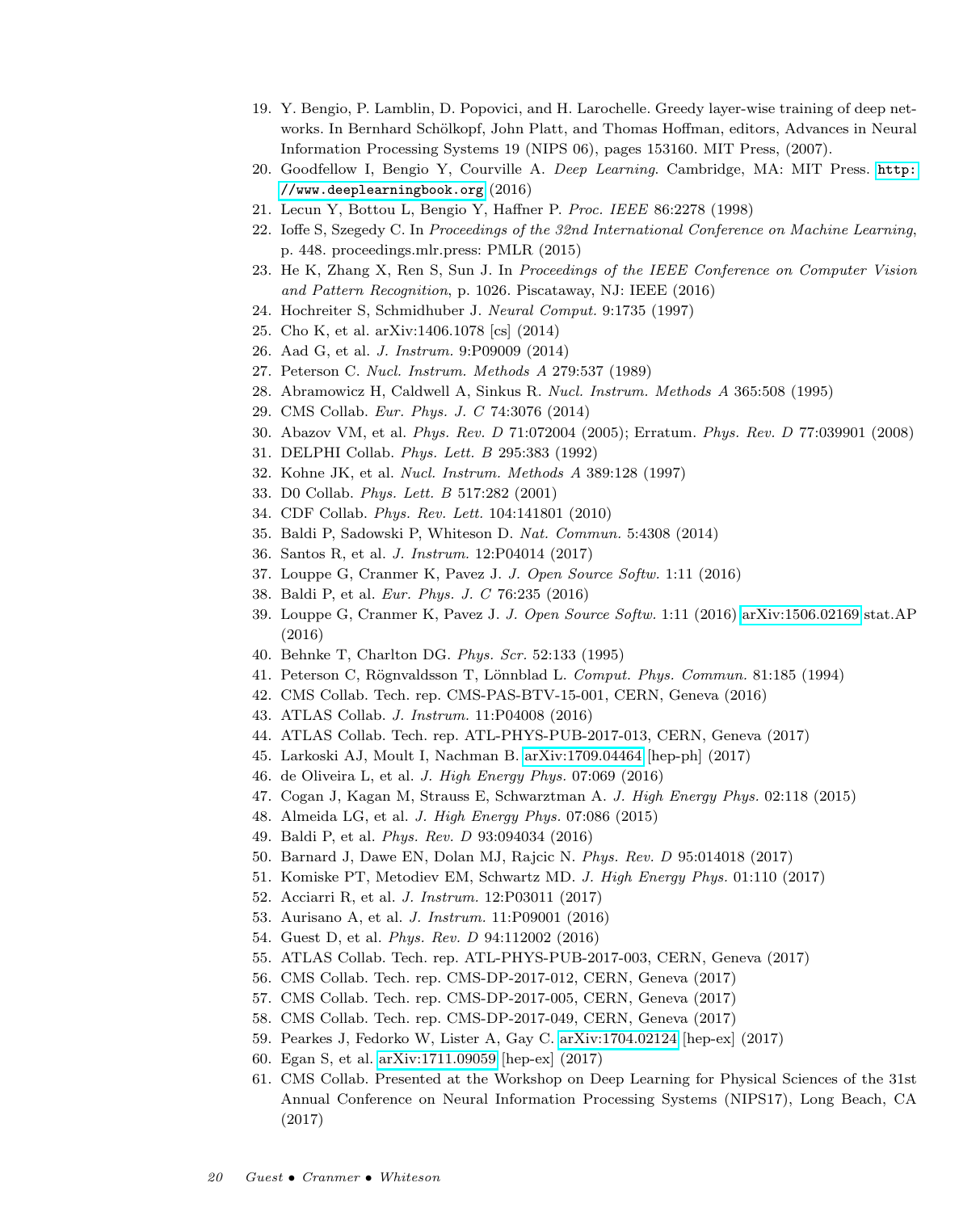- <span id="page-19-0"></span>19. Y. Bengio, P. Lamblin, D. Popovici, and H. Larochelle. Greedy layer-wise training of deep networks. In Bernhard Schölkopf, John Platt, and Thomas Hoffman, editors, Advances in Neural Information Processing Systems 19 (NIPS 06), pages 153160. MIT Press, (2007).
- <span id="page-19-1"></span>20. Goodfellow I, Bengio Y, Courville A. Deep Learning. Cambridge, MA: MIT Press. [http:](http://www.deeplearningbook.org) [//www.deeplearningbook.org](http://www.deeplearningbook.org) (2016)
- <span id="page-19-2"></span>21. Lecun Y, Bottou L, Bengio Y, Haffner P. Proc. IEEE 86:2278 (1998)
- <span id="page-19-3"></span>22. Ioffe S, Szegedy C. In Proceedings of the 32nd International Conference on Machine Learning, p. 448. proceedings.mlr.press: PMLR (2015)
- <span id="page-19-4"></span>23. He K, Zhang X, Ren S, Sun J. In Proceedings of the IEEE Conference on Computer Vision and Pattern Recognition, p. 1026. Piscataway, NJ: IEEE (2016)
- <span id="page-19-5"></span>24. Hochreiter S, Schmidhuber J. Neural Comput. 9:1735 (1997)
- <span id="page-19-6"></span>25. Cho K, et al. arXiv:1406.1078 [cs] (2014)
- <span id="page-19-7"></span>26. Aad G, et al. J. Instrum. 9:P09009 (2014)
- <span id="page-19-8"></span>27. Peterson C. Nucl. Instrum. Methods A 279:537 (1989)
- <span id="page-19-9"></span>28. Abramowicz H, Caldwell A, Sinkus R. Nucl. Instrum. Methods A 365:508 (1995)
- <span id="page-19-10"></span>29. CMS Collab. Eur. Phys. J. C 74:3076 (2014)
- <span id="page-19-11"></span>30. Abazov VM, et al. Phys. Rev. D 71:072004 (2005); Erratum. Phys. Rev. D 77:039901 (2008)
- <span id="page-19-12"></span>31. DELPHI Collab. Phys. Lett. B 295:383 (1992)
- <span id="page-19-13"></span>32. Kohne JK, et al. Nucl. Instrum. Methods A 389:128 (1997)
- <span id="page-19-14"></span>33. D0 Collab. Phys. Lett. B 517:282 (2001)
- <span id="page-19-15"></span>34. CDF Collab. Phys. Rev. Lett. 104:141801 (2010)
- <span id="page-19-16"></span>35. Baldi P, Sadowski P, Whiteson D. Nat. Commun. 5:4308 (2014)
- <span id="page-19-17"></span>36. Santos R, et al. J. Instrum. 12:P04014 (2017)
- <span id="page-19-41"></span>37. Louppe G, Cranmer K, Pavez J. J. Open Source Softw. 1:11 (2016)
- <span id="page-19-19"></span>38. Baldi P, et al. Eur. Phys. J. C 76:235 (2016)
- <span id="page-19-18"></span>39. Louppe G, Cranmer K, Pavez J. J. Open Source Softw. 1:11 (2016) [arXiv:1506.02169](http://arxiv.org/abs/1506.02169) stat.AP (2016)
- <span id="page-19-20"></span>40. Behnke T, Charlton DG. Phys. Scr. 52:133 (1995)
- <span id="page-19-21"></span>41. Peterson C, Rögnvaldsson T, Lönnblad L. Comput. Phys. Commun. 81:185 (1994)
- <span id="page-19-22"></span>42. CMS Collab. Tech. rep. CMS-PAS-BTV-15-001, CERN, Geneva (2016)
- 43. ATLAS Collab. J. Instrum. 11:P04008 (2016)
- <span id="page-19-23"></span>44. ATLAS Collab. Tech. rep. ATL-PHYS-PUB-2017-013, CERN, Geneva (2017)
- <span id="page-19-24"></span>45. Larkoski AJ, Moult I, Nachman B. [arXiv:1709.04464](http://arxiv.org/abs/1709.04464) [hep-ph] (2017)
- <span id="page-19-26"></span>46. de Oliveira L, et al. J. High Energy Phys. 07:069 (2016)
- <span id="page-19-25"></span>47. Cogan J, Kagan M, Strauss E, Schwarztman A. J. High Energy Phys. 02:118 (2015)
- <span id="page-19-27"></span>48. Almeida LG, et al. J. High Energy Phys. 07:086 (2015)
- <span id="page-19-28"></span>49. Baldi P, et al. Phys. Rev. D 93:094034 (2016)
- <span id="page-19-29"></span>50. Barnard J, Dawe EN, Dolan MJ, Rajcic N. Phys. Rev. D 95:014018 (2017)
- <span id="page-19-30"></span>51. Komiske PT, Metodiev EM, Schwartz MD. J. High Energy Phys. 01:110 (2017)
- <span id="page-19-31"></span>52. Acciarri R, et al. J. Instrum. 12:P03011 (2017)
- <span id="page-19-32"></span>53. Aurisano A, et al. J. Instrum. 11:P09001 (2016)
- <span id="page-19-33"></span>54. Guest D, et al. Phys. Rev. D 94:112002 (2016)
- <span id="page-19-34"></span>55. ATLAS Collab. Tech. rep. ATL-PHYS-PUB-2017-003, CERN, Geneva (2017)
- <span id="page-19-35"></span>56. CMS Collab. Tech. rep. CMS-DP-2017-012, CERN, Geneva (2017)
- <span id="page-19-36"></span>57. CMS Collab. Tech. rep. CMS-DP-2017-005, CERN, Geneva (2017)
- <span id="page-19-40"></span>58. CMS Collab. Tech. rep. CMS-DP-2017-049, CERN, Geneva (2017)
- <span id="page-19-37"></span>59. Pearkes J, Fedorko W, Lister A, Gay C. [arXiv:1704.02124](http://arxiv.org/abs/1704.02124) [hep-ex] (2017)
- <span id="page-19-38"></span>60. Egan S, et al. [arXiv:1711.09059](http://arxiv.org/abs/1711.09059) [hep-ex] (2017)
- <span id="page-19-39"></span>61. CMS Collab. Presented at the Workshop on Deep Learning for Physical Sciences of the 31st Annual Conference on Neural Information Processing Systems (NIPS17), Long Beach, CA (2017)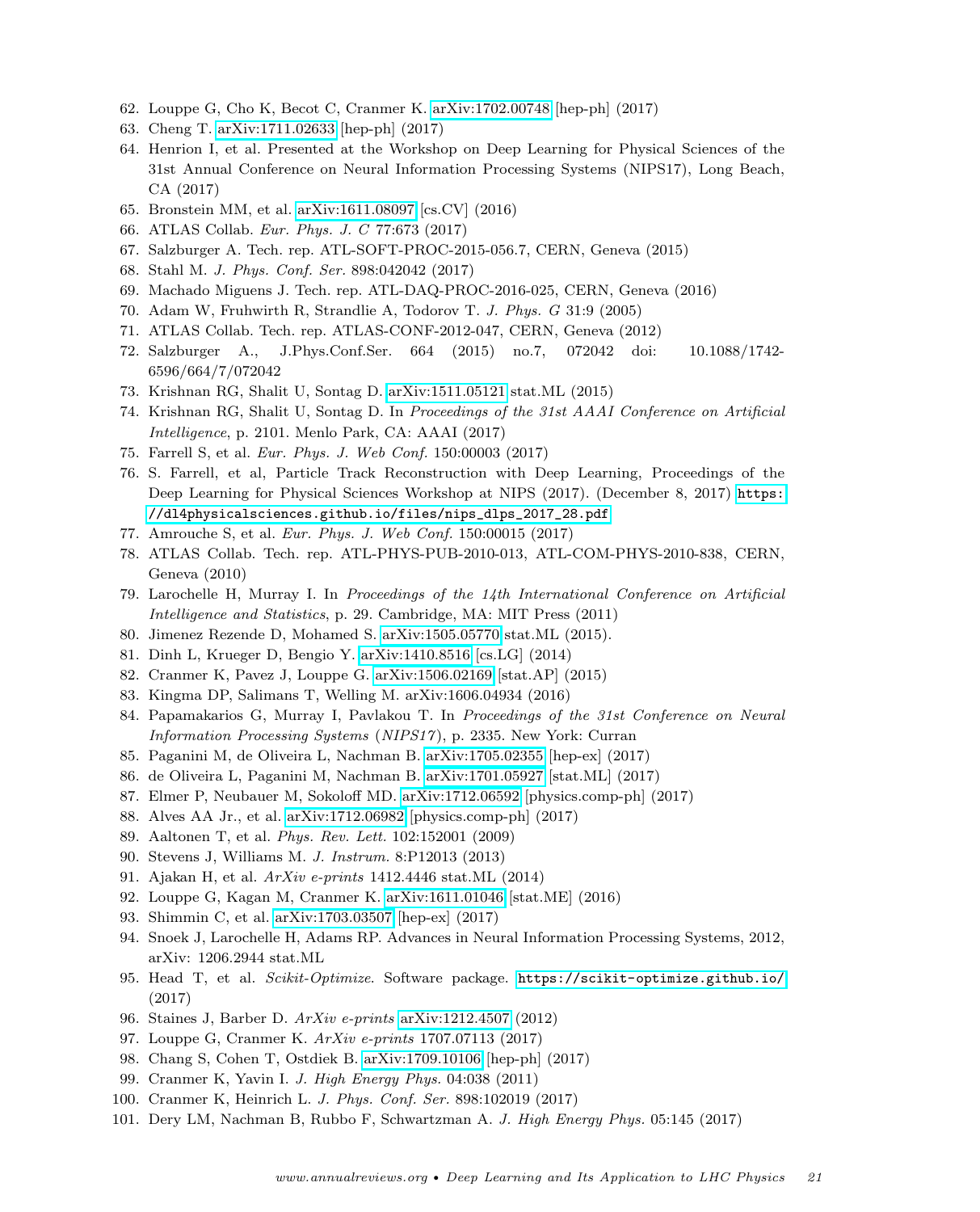- <span id="page-20-0"></span>62. Louppe G, Cho K, Becot C, Cranmer K. [arXiv:1702.00748](http://arxiv.org/abs/1702.00748) [hep-ph] (2017)
- <span id="page-20-1"></span>63. Cheng T. [arXiv:1711.02633](http://arxiv.org/abs/1711.02633) [hep-ph] (2017)
- <span id="page-20-2"></span>64. Henrion I, et al. Presented at the Workshop on Deep Learning for Physical Sciences of the 31st Annual Conference on Neural Information Processing Systems (NIPS17), Long Beach, CA (2017)
- <span id="page-20-3"></span>65. Bronstein MM, et al. [arXiv:1611.08097](http://arxiv.org/abs/1611.08097) [cs.CV] (2016)
- <span id="page-20-4"></span>66. ATLAS Collab. Eur. Phys. J. C 77:673 (2017)
- <span id="page-20-5"></span>67. Salzburger A. Tech. rep. ATL-SOFT-PROC-2015-056.7, CERN, Geneva (2015)
- <span id="page-20-6"></span>68. Stahl M. J. Phys. Conf. Ser. 898:042042 (2017)
- <span id="page-20-7"></span>69. Machado Miguens J. Tech. rep. ATL-DAQ-PROC-2016-025, CERN, Geneva (2016)
- <span id="page-20-8"></span>70. Adam W, Fruhwirth R, Strandlie A, Todorov T. J. Phys. G 31:9 (2005)
- <span id="page-20-9"></span>71. ATLAS Collab. Tech. rep. ATLAS-CONF-2012-047, CERN, Geneva (2012)
- <span id="page-20-10"></span>72. Salzburger A., J.Phys.Conf.Ser. 664 (2015) no.7, 072042 doi: 10.1088/1742- 6596/664/7/072042
- <span id="page-20-11"></span>73. Krishnan RG, Shalit U, Sontag D. [arXiv:1511.05121](http://arxiv.org/abs/1511.05121) stat.ML (2015)
- <span id="page-20-12"></span>74. Krishnan RG, Shalit U, Sontag D. In Proceedings of the 31st AAAI Conference on Artificial Intelligence, p. 2101. Menlo Park, CA: AAAI (2017)
- <span id="page-20-13"></span>75. Farrell S, et al. Eur. Phys. J. Web Conf. 150:00003 (2017)
- <span id="page-20-14"></span>76. S. Farrell, et al, Particle Track Reconstruction with Deep Learning, Proceedings of the Deep Learning for Physical Sciences Workshop at NIPS (2017). (December 8, 2017) [https:](https://dl4physicalsciences.github.io/files/nips_dlps_2017_28.pdf) [//dl4physicalsciences.github.io/files/nips\\_dlps\\_2017\\_28.pdf](https://dl4physicalsciences.github.io/files/nips_dlps_2017_28.pdf)
- <span id="page-20-15"></span>77. Amrouche S, et al. Eur. Phys. J. Web Conf. 150:00015 (2017)
- <span id="page-20-16"></span>78. ATLAS Collab. Tech. rep. ATL-PHYS-PUB-2010-013, ATL-COM-PHYS-2010-838, CERN, Geneva (2010)
- <span id="page-20-21"></span>79. Larochelle H, Murray I. In Proceedings of the 14th International Conference on Artificial Intelligence and Statistics, p. 29. Cambridge, MA: MIT Press (2011)
- 80. Jimenez Rezende D, Mohamed S. [arXiv:1505.05770](http://arxiv.org/abs/1505.05770) stat.ML (2015).
- 81. Dinh L, Krueger D, Bengio Y. [arXiv:1410.8516](http://arxiv.org/abs/1410.8516) [cs.LG] (2014)
- <span id="page-20-23"></span>82. Cranmer K, Pavez J, Louppe G. [arXiv:1506.02169](http://arxiv.org/abs/1506.02169) [stat.AP] (2015)
- 83. Kingma DP, Salimans T, Welling M. arXiv:1606.04934 (2016)
- <span id="page-20-22"></span>84. Papamakarios G, Murray I, Pavlakou T. In Proceedings of the 31st Conference on Neural Information Processing Systems (NIPS17), p. 2335. New York: Curran
- <span id="page-20-17"></span>85. Paganini M, de Oliveira L, Nachman B. [arXiv:1705.02355](http://arxiv.org/abs/1705.02355) [hep-ex] (2017)
- <span id="page-20-18"></span>86. de Oliveira L, Paganini M, Nachman B. [arXiv:1701.05927](http://arxiv.org/abs/1701.05927) [stat.ML] (2017)
- <span id="page-20-19"></span>87. Elmer P, Neubauer M, Sokoloff MD. [arXiv:1712.06592](http://arxiv.org/abs/1712.06592) [physics.comp-ph] (2017)
- <span id="page-20-20"></span>88. Alves AA Jr., et al. [arXiv:1712.06982](http://arxiv.org/abs/1712.06982) [physics.comp-ph] (2017)
- <span id="page-20-24"></span>89. Aaltonen T, et al. Phys. Rev. Lett. 102:152001 (2009)
- <span id="page-20-25"></span>90. Stevens J, Williams M. J. Instrum. 8:P12013 (2013)
- <span id="page-20-26"></span>91. Ajakan H, et al. ArXiv e-prints 1412.4446 stat.ML (2014)
- <span id="page-20-27"></span>92. Louppe G, Kagan M, Cranmer K. [arXiv:1611.01046](http://arxiv.org/abs/1611.01046) [stat.ME] (2016)
- <span id="page-20-28"></span>93. Shimmin C, et al. [arXiv:1703.03507](http://arxiv.org/abs/1703.03507) [hep-ex] (2017)
- <span id="page-20-29"></span>94. Snoek J, Larochelle H, Adams RP. Advances in Neural Information Processing Systems, 2012, arXiv: 1206.2944 stat.ML
- <span id="page-20-30"></span>95. Head T, et al. Scikit-Optimize. Software package. <https://scikit-optimize.github.io/> (2017)
- <span id="page-20-31"></span>96. Staines J, Barber D. ArXiv e-prints [arXiv:1212.4507](http://arxiv.org/abs/1212.4507) (2012)
- <span id="page-20-32"></span>97. Louppe G, Cranmer K. ArXiv e-prints 1707.07113 (2017)
- <span id="page-20-33"></span>98. Chang S, Cohen T, Ostdiek B. [arXiv:1709.10106](http://arxiv.org/abs/1709.10106) [hep-ph] (2017)
- <span id="page-20-34"></span>99. Cranmer K, Yavin I. J. High Energy Phys. 04:038 (2011)
- <span id="page-20-35"></span>100. Cranmer K, Heinrich L. J. Phys. Conf. Ser. 898:102019 (2017)
- <span id="page-20-36"></span>101. Dery LM, Nachman B, Rubbo F, Schwartzman A. J. High Energy Phys. 05:145 (2017)